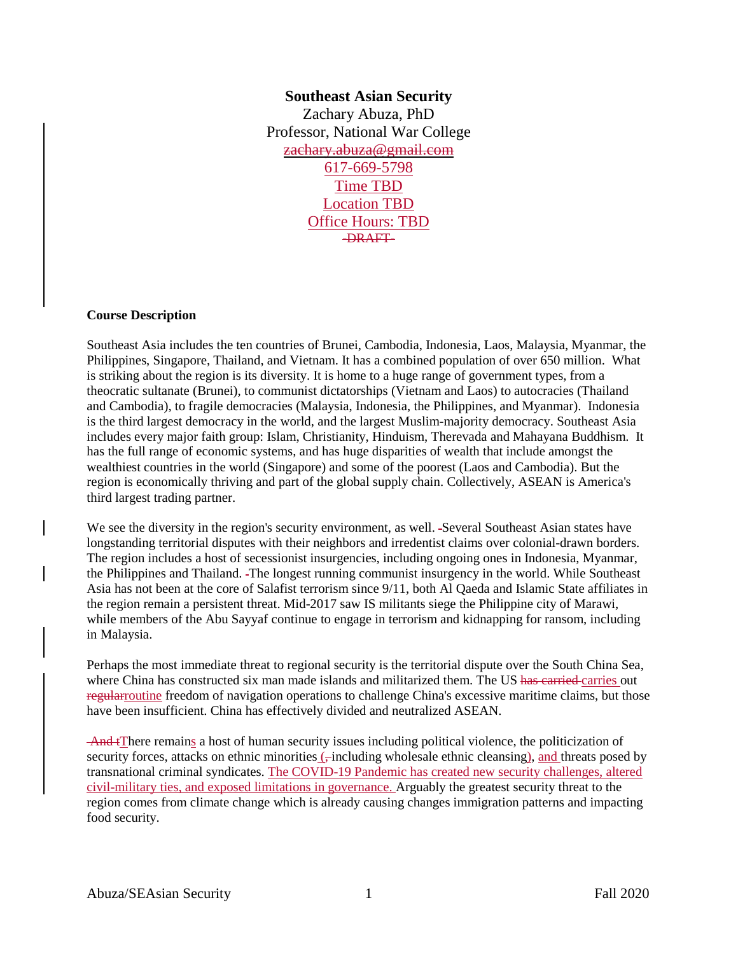## **Southeast Asian Security** Zachary Abuza, PhD Professor, National War College zachary.abuza@gmail.com 617-669-5798 Time TBD Location TBD Office Hours: TBD -DRAFT-

#### **Course Description**

Southeast Asia includes the ten countries of Brunei, Cambodia, Indonesia, Laos, Malaysia, Myanmar, the Philippines, Singapore, Thailand, and Vietnam. It has a combined population of over 650 million. What is striking about the region is its diversity. It is home to a huge range of government types, from a theocratic sultanate (Brunei), to communist dictatorships (Vietnam and Laos) to autocracies (Thailand and Cambodia), to fragile democracies (Malaysia, Indonesia, the Philippines, and Myanmar). Indonesia is the third largest democracy in the world, and the largest Muslim-majority democracy. Southeast Asia includes every major faith group: Islam, Christianity, Hinduism, Therevada and Mahayana Buddhism. It has the full range of economic systems, and has huge disparities of wealth that include amongst the wealthiest countries in the world (Singapore) and some of the poorest (Laos and Cambodia). But the region is economically thriving and part of the global supply chain. Collectively, ASEAN is America's third largest trading partner.

We see the diversity in the region's security environment, as well. -Several Southeast Asian states have longstanding territorial disputes with their neighbors and irredentist claims over colonial-drawn borders. The region includes a host of secessionist insurgencies, including ongoing ones in Indonesia, Myanmar, the Philippines and Thailand. The longest running communist insurgency in the world. While Southeast Asia has not been at the core of Salafist terrorism since 9/11, both Al Qaeda and Islamic State affiliates in the region remain a persistent threat. Mid-2017 saw IS militants siege the Philippine city of Marawi, while members of the Abu Sayyaf continue to engage in terrorism and kidnapping for ransom, including in Malaysia.

Perhaps the most immediate threat to regional security is the territorial dispute over the South China Sea, where China has constructed six man made islands and militarized them. The US has carried carries out regularroutine freedom of navigation operations to challenge China's excessive maritime claims, but those have been insufficient. China has effectively divided and neutralized ASEAN.

And tThere remains a host of human security issues including political violence, the politicization of security forces, attacks on ethnic minorities (,-including wholesale ethnic cleansing), and threats posed by transnational criminal syndicates. The COVID-19 Pandemic has created new security challenges, altered civil-military ties, and exposed limitations in governance. Arguably the greatest security threat to the region comes from climate change which is already causing changes immigration patterns and impacting food security.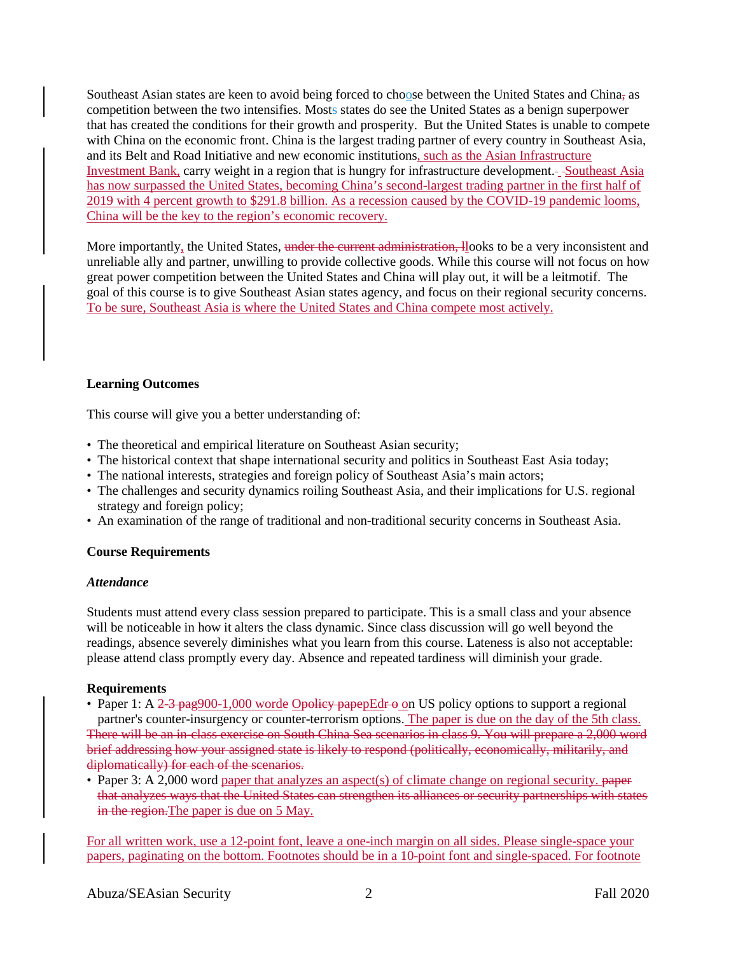Southeast Asian states are keen to avoid being forced to choose between the United States and China, as competition between the two intensifies. Mosts states do see the United States as a benign superpower that has created the conditions for their growth and prosperity. But the United States is unable to compete with China on the economic front. China is the largest trading partner of every country in Southeast Asia, and its Belt and Road Initiative and new economic institutions, such as the Asian Infrastructure Investment Bank, carry weight in a region that is hungry for infrastructure development. --Southeast Asia has now surpassed the United States, becoming China's second-largest trading partner in the first half of 2019 with 4 percent growth to \$291.8 billion. As a recession caused by the COVID-19 pandemic looms, China will be the key to the region's economic recovery.

More importantly, the United States, under the current administration, llooks to be a very inconsistent and unreliable ally and partner, unwilling to provide collective goods. While this course will not focus on how great power competition between the United States and China will play out, it will be a leitmotif. The goal of this course is to give Southeast Asian states agency, and focus on their regional security concerns. To be sure, Southeast Asia is where the United States and China compete most actively.

#### **Learning Outcomes**

This course will give you a better understanding of:

- The theoretical and empirical literature on Southeast Asian security;
- The historical context that shape international security and politics in Southeast East Asia today;
- The national interests, strategies and foreign policy of Southeast Asia's main actors;
- The challenges and security dynamics roiling Southeast Asia, and their implications for U.S. regional strategy and foreign policy;
- An examination of the range of traditional and non-traditional security concerns in Southeast Asia.

#### **Course Requirements**

#### *Attendance*

Students must attend every class session prepared to participate. This is a small class and your absence will be noticeable in how it alters the class dynamic. Since class discussion will go well beyond the readings, absence severely diminishes what you learn from this course. Lateness is also not acceptable: please attend class promptly every day. Absence and repeated tardiness will diminish your grade.

#### **Requirements**

- Paper 1: A  $2-3$  pag900-1,000 worde Opolicy papepEdr  $\Theta$  on US policy options to support a regional partner's counter-insurgency or counter-terrorism options. The paper is due on the day of the 5th class. There will be an in-class exercise on South China Sea scenarios in class 9. You will prepare a 2,000 word brief addressing how your assigned state is likely to respond (politically, economically, militarily, and diplomatically) for each of the scenarios.
- Paper 3: A 2,000 word paper that analyzes an aspect(s) of climate change on regional security. paper that analyzes ways that the United States can strengthen its alliances or security partnerships with states in the region. The paper is due on 5 May.

For all written work, use a 12-point font, leave a one-inch margin on all sides. Please single-space your papers, paginating on the bottom. Footnotes should be in a 10-point font and single-spaced. For footnote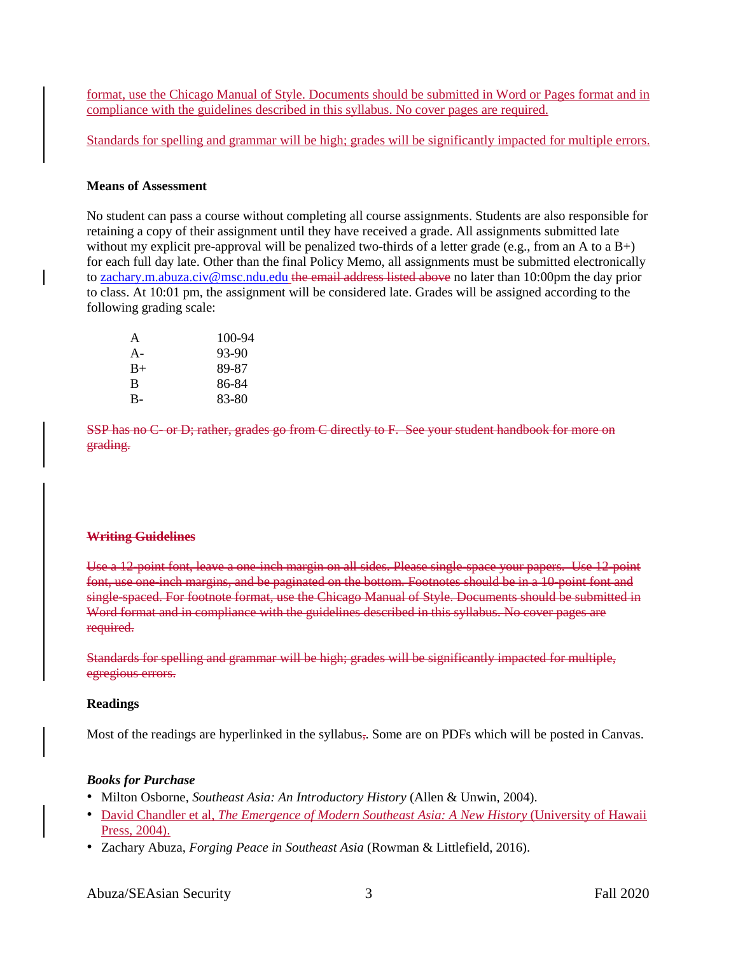format, use the Chicago Manual of Style. Documents should be submitted in Word or Pages format and in compliance with the guidelines described in this syllabus. No cover pages are required.

Standards for spelling and grammar will be high; grades will be significantly impacted for multiple errors.

#### **Means of Assessment**

No student can pass a course without completing all course assignments. Students are also responsible for retaining a copy of their assignment until they have received a grade. All assignments submitted late without my explicit pre-approval will be penalized two-thirds of a letter grade (e.g., from an A to a  $B+$ ) for each full day late. Other than the final Policy Memo, all assignments must be submitted electronically to [zachary.m.abuza.civ@msc.ndu.edu](mailto:zachary.abuza@gmail.com) the email address listed above no later than 10:00pm the day prior to class. At 10:01 pm, the assignment will be considered late. Grades will be assigned according to the following grading scale:

| A     | 100-94 |
|-------|--------|
| $A -$ | 93-90  |
| $B+$  | 89-87  |
| B     | 86-84  |
| $B -$ | 83-80  |

SSP has no C- or D; rather, grades go from C directly to F. See your student handbook for more on grading.

#### **Writing Guidelines**

Use a 12-point font, leave a one-inch margin on all sides. Please single-space your papers. Use 12-point font, use one-inch margins, and be paginated on the bottom. Footnotes should be in a 10-point font and single-spaced. For footnote format, use the Chicago Manual of Style. Documents should be submitted in Word format and in compliance with the guidelines described in this syllabus. No cover pages are required.

Standards for spelling and grammar will be high; grades will be significantly impacted for multiple, egregious errors.

#### **Readings**

Most of the readings are hyperlinked in the syllabus,. Some are on PDFs which will be posted in Canvas.

#### *Books for Purchase*

- Milton Osborne, *Southeast Asia: An Introductory History* (Allen & Unwin, 2004).
- David Chandler et al, *The Emergence of Modern Southeast Asia: A New History* (University of Hawaii Press, 2004).
- Zachary Abuza, *Forging Peace in Southeast Asia* (Rowman & Littlefield, 2016).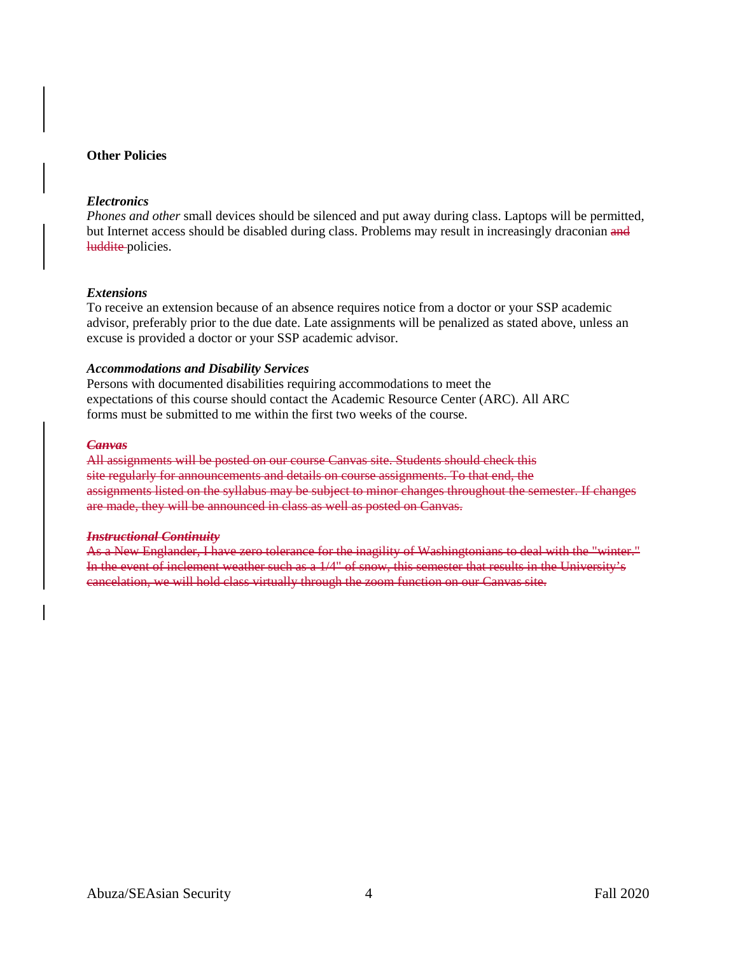#### **Other Policies**

#### *Electronics*

*Phones and other* small devices should be silenced and put away during class. Laptops will be permitted, but Internet access should be disabled during class. Problems may result in increasingly draconian and luddite policies.

#### *Extensions*

To receive an extension because of an absence requires notice from a doctor or your SSP academic advisor, preferably prior to the due date. Late assignments will be penalized as stated above, unless an excuse is provided a doctor or your SSP academic advisor.

#### *Accommodations and Disability Services*

Persons with documented disabilities requiring accommodations to meet the expectations of this course should contact the Academic Resource Center (ARC). All ARC forms must be submitted to me within the first two weeks of the course.

#### *Canvas*

All assignments will be posted on our course Canvas site. Students should check this site regularly for announcements and details on course assignments. To that end, the assignments listed on the syllabus may be subject to minor changes throughout the semester. If changes are made, they will be announced in class as well as posted on Canvas.

#### *Instructional Continuity*

As a New Englander, I have zero tolerance for the inagility of Washingtonians to deal with the "winter." In the event of inclement weather such as a 1/4" of snow, this semester that results in the University's cancelation, we will hold class virtually through the zoom function on our Canvas site.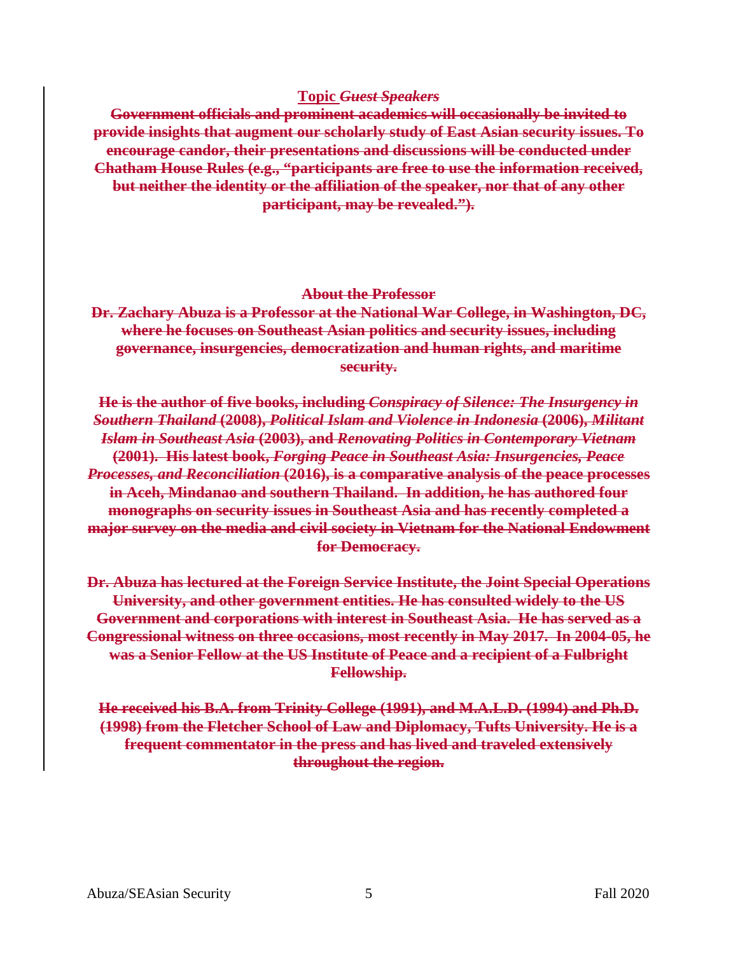### **Topic** *Guest Speakers*

**Government officials and prominent academics will occasionally be invited to provide insights that augment our scholarly study of East Asian security issues. To encourage candor, their presentations and discussions will be conducted under Chatham House Rules (e.g., "participants are free to use the information received, but neither the identity or the affiliation of the speaker, nor that of any other participant, may be revealed.").**

### **About the Professor**

**Dr. Zachary Abuza is a Professor at the National War College, in Washington, DC, where he focuses on Southeast Asian politics and security issues, including governance, insurgencies, democratization and human rights, and maritime security.** 

**He is the author of five books, including** *Conspiracy of Silence: The Insurgency in Southern Thailand* **(2008),** *Political Islam and Violence in Indonesia* **(2006),** *Militant Islam in Southeast Asia* **(2003), and** *Renovating Politics in Contemporary Vietnam* **(2001). His latest book,** *Forging Peace in Southeast Asia: Insurgencies, Peace Processes, and Reconciliation* **(2016), is a comparative analysis of the peace processes in Aceh, Mindanao and southern Thailand. In addition, he has authored four monographs on security issues in Southeast Asia and has recently completed a major survey on the media and civil society in Vietnam for the National Endowment for Democracy.** 

**Dr. Abuza has lectured at the Foreign Service Institute, the Joint Special Operations University, and other government entities. He has consulted widely to the US Government and corporations with interest in Southeast Asia. He has served as a Congressional witness on three occasions, most recently in May 2017. In 2004-05, he was a Senior Fellow at the US Institute of Peace and a recipient of a Fulbright Fellowship.** 

**He received his B.A. from Trinity College (1991), and M.A.L.D. (1994) and Ph.D. (1998) from the Fletcher School of Law and Diplomacy, Tufts University. He is a frequent commentator in the press and has lived and traveled extensively throughout the region.**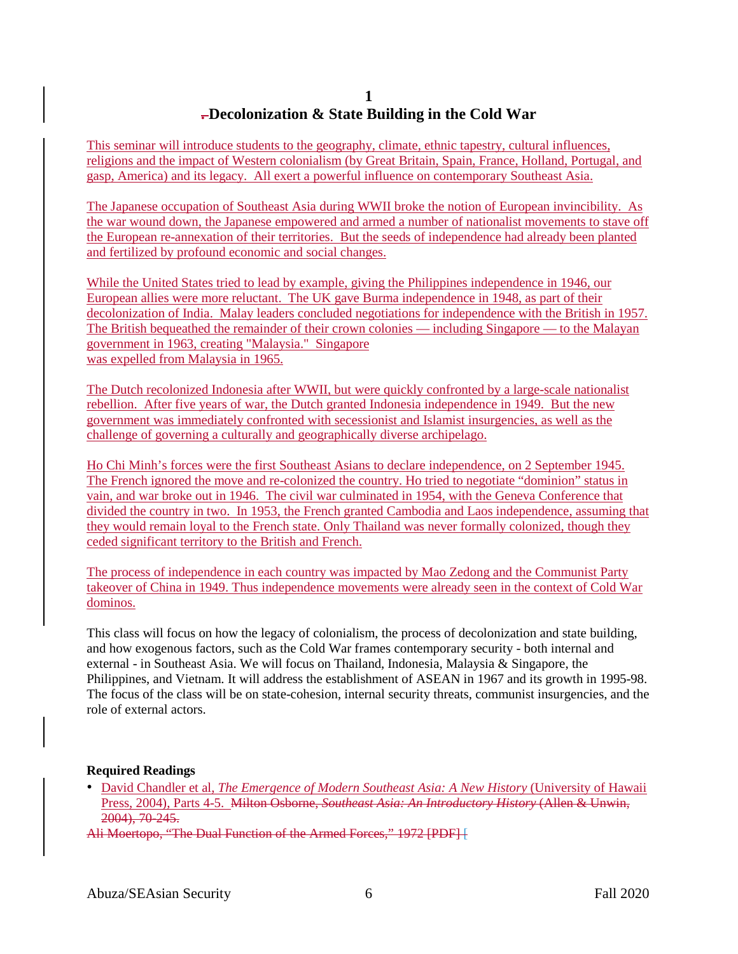## **1 . Decolonization & State Building in the Cold War**

This seminar will introduce students to the geography, climate, ethnic tapestry, cultural influences, religions and the impact of Western colonialism (by Great Britain, Spain, France, Holland, Portugal, and gasp, America) and its legacy. All exert a powerful influence on contemporary Southeast Asia.

The Japanese occupation of Southeast Asia during WWII broke the notion of European invincibility. As the war wound down, the Japanese empowered and armed a number of nationalist movements to stave off the European re-annexation of their territories. But the seeds of independence had already been planted and fertilized by profound economic and social changes.

While the United States tried to lead by example, giving the Philippines independence in 1946, our European allies were more reluctant. The UK gave Burma independence in 1948, as part of their decolonization of India. Malay leaders concluded negotiations for independence with the British in 1957. The British bequeathed the remainder of their crown colonies — including Singapore — to the Malayan government in 1963, creating "Malaysia." Singapore was expelled from Malaysia in 1965.

The Dutch recolonized Indonesia after WWII, but were quickly confronted by a large-scale nationalist rebellion. After five years of war, the Dutch granted Indonesia independence in 1949. But the new government was immediately confronted with secessionist and Islamist insurgencies, as well as the challenge of governing a culturally and geographically diverse archipelago.

Ho Chi Minh's forces were the first Southeast Asians to declare independence, on 2 September 1945. The French ignored the move and re-colonized the country. Ho tried to negotiate "dominion" status in vain, and war broke out in 1946. The civil war culminated in 1954, with the Geneva Conference that divided the country in two. In 1953, the French granted Cambodia and Laos independence, assuming that they would remain loyal to the French state. Only Thailand was never formally colonized, though they ceded significant territory to the British and French.

The process of independence in each country was impacted by Mao Zedong and the Communist Party takeover of China in 1949. Thus independence movements were already seen in the context of Cold War dominos.

This class will focus on how the legacy of colonialism, the process of decolonization and state building, and how exogenous factors, such as the Cold War frames contemporary security - both internal and external - in Southeast Asia. We will focus on Thailand, Indonesia, Malaysia & Singapore, the Philippines, and Vietnam. It will address the establishment of ASEAN in 1967 and its growth in 1995-98. The focus of the class will be on state-cohesion, internal security threats, communist insurgencies, and the role of external actors.

#### **Required Readings**

• David Chandler et al, *The Emergence of Modern Southeast Asia: A New History* (University of Hawaii Press, 2004), Parts 4-5. Milton Osborne, *Southeast Asia: An Introductory History* (Allen & Unwin, 2004), 70-245.

Ali Moertopo, "The Dual Function of the Armed Forces," 1972 [PDF] [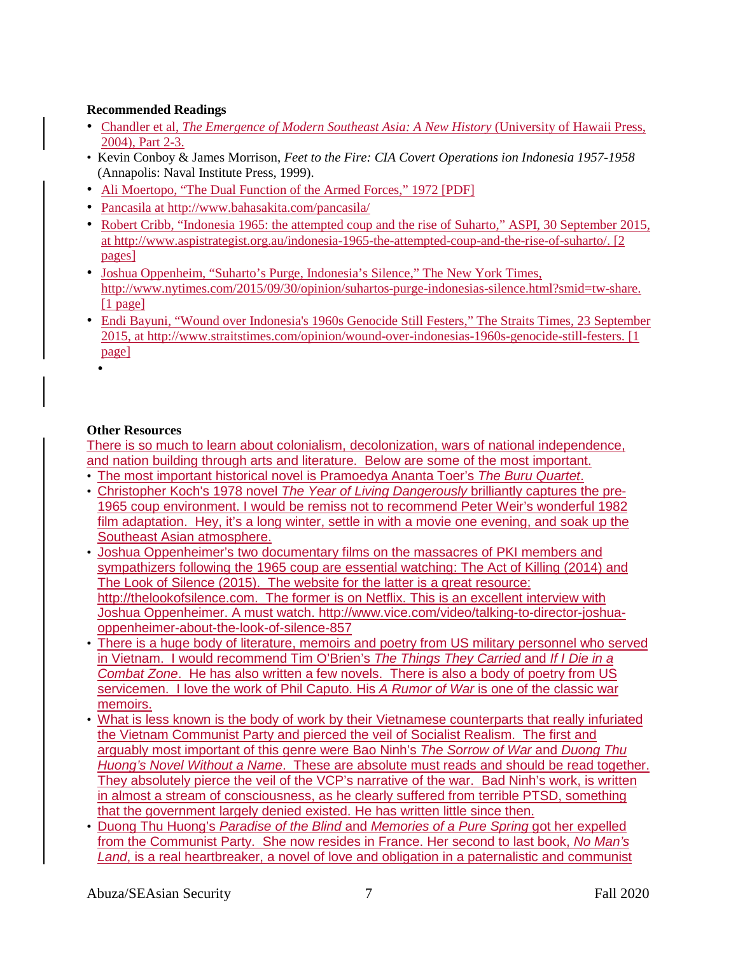## **Recommended Readings**

- Chandler et al, *The Emergence of Modern Southeast Asia: A New History* (University of Hawaii Press, 2004), Part 2-3.
- Kevin Conboy & James Morrison, *Feet to the Fire: CIA Covert Operations ion Indonesia 1957-1958* (Annapolis: Naval Institute Press, 1999).
- Ali Moertopo, "The Dual Function of the Armed Forces," 1972 [PDF]
- Pancasila at http://www.bahasakita.com/pancasila/
- Robert Cribb, "Indonesia 1965: the attempted coup and the rise of Suharto," ASPI, 30 September 2015, at http://www.aspistrategist.org.au/indonesia-1965-the-attempted-coup-and-the-rise-of-suharto/. [2 pages]
- Joshua Oppenheim, "Suharto's Purge, Indonesia's Silence," The New York Times, http://www.nytimes.com/2015/09/30/opinion/suhartos-purge-indonesias-silence.html?smid=tw-share. [1 page]
- Endi Bayuni, "Wound over Indonesia's 1960s Genocide Still Festers," The Straits Times, 23 September 2015, at http://www.straitstimes.com/opinion/wound-over-indonesias-1960s-genocide-still-festers. [1 page]
	- •

### **Other Resources**

There is so much to learn about colonialism, decolonization, wars of national independence, and nation building through arts and literature. Below are some of the most important.

- The most important historical novel is Pramoedya Ananta Toer's *The Buru Quartet*.
- Christopher Koch's 1978 novel *The Year of Living Dangerously* brilliantly captures the pre-1965 coup environment. I would be remiss not to recommend Peter Weir's wonderful 1982 film adaptation. Hey, it's a long winter, settle in with a movie one evening, and soak up the Southeast Asian atmosphere.
- Joshua Oppenheimer's two documentary films on the massacres of PKI members and sympathizers following the 1965 coup are essential watching: The Act of Killing (2014) and The Look of Silence (2015). The website for the latter is a great resource: http://thelookofsilence.com. The former is on Netflix. This is an excellent interview with Joshua Oppenheimer. A must watch. [http://www.vice.com/video/talking-to-director-joshua](http://www.vice.com/video/talking-to-director-joshua-oppenheimer-about-the-look-of-silence-857)[oppenheimer-about-the-look-of-silence-857](http://www.vice.com/video/talking-to-director-joshua-oppenheimer-about-the-look-of-silence-857)
- There is a huge body of literature, memoirs and poetry from US military personnel who served in Vietnam. I would recommend Tim O'Brien's *The Things They Carried* and *If I Die in a Combat Zone*. He has also written a few novels. There is also a body of poetry from US servicemen. I love the work of Phil Caputo. His *A Rumor of War* is one of the classic war memoirs.
- What is less known is the body of work by their Vietnamese counterparts that really infuriated the Vietnam Communist Party and pierced the veil of Socialist Realism. The first and arguably most important of this genre were Bao Ninh's *The Sorrow of War* and *Duong Thu Huong's Novel Without a Name*. These are absolute must reads and should be read together. They absolutely pierce the veil of the VCP's narrative of the war. Bad Ninh's work, is written in almost a stream of consciousness, as he clearly suffered from terrible PTSD, something that the government largely denied existed. He has written little since then.
- Duong Thu Huong's *Paradise of the Blind* and *Memories of a Pure Spring* got her expelled from the Communist Party. She now resides in France. Her second to last book, *No Man's Land*, is a real heartbreaker, a novel of love and obligation in a paternalistic and communist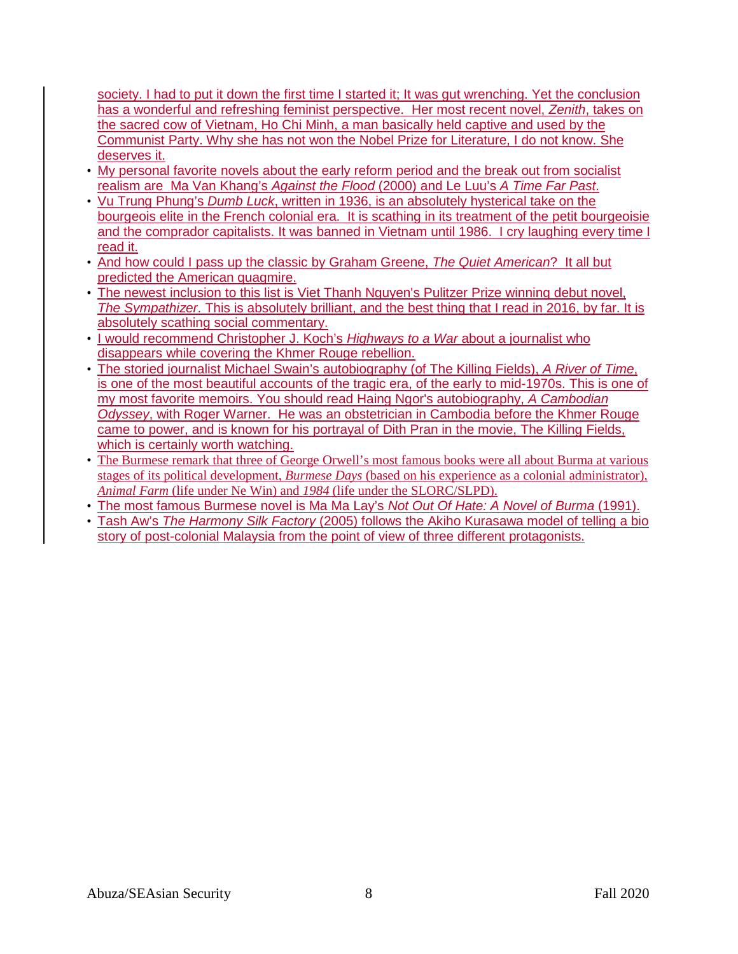society. I had to put it down the first time I started it; It was gut wrenching. Yet the conclusion has a wonderful and refreshing feminist perspective. Her most recent novel, *Zenith*, takes on the sacred cow of Vietnam, Ho Chi Minh, a man basically held captive and used by the Communist Party. Why she has not won the Nobel Prize for Literature, I do not know. She deserves it.

- My personal favorite novels about the early reform period and the break out from socialist realism are Ma Van Khang's *Against the Flood* (2000) and Le Luu's *A Time Far Past*.
- Vu Trung Phung's *Dumb Luck*, written in 1936, is an absolutely hysterical take on the bourgeois elite in the French colonial era. It is scathing in its treatment of the petit bourgeoisie and the comprador capitalists. It was banned in Vietnam until 1986. I cry laughing every time I read it.
- And how could I pass up the classic by Graham Greene, *The Quiet American*? It all but predicted the American quagmire.
- The newest inclusion to this list is Viet Thanh Nguyen's Pulitzer Prize winning debut novel, *The Sympathizer*. This is absolutely brilliant, and the best thing that I read in 2016, by far. It is absolutely scathing social commentary.
- I would recommend Christopher J. Koch's *Highways to a War* about a journalist who disappears while covering the Khmer Rouge rebellion.
- The storied journalist Michael Swain's autobiography (of The Killing Fields), *A River of Time*, is one of the most beautiful accounts of the tragic era, of the early to mid-1970s. This is one of my most favorite memoirs. You should read Haing Ngor's autobiography, *A Cambodian Odyssey*, with Roger Warner. He was an obstetrician in Cambodia before the Khmer Rouge came to power, and is known for his portrayal of Dith Pran in the movie, The Killing Fields, which is certainly worth watching.
- The Burmese remark that three of George Orwell's most famous books were all about Burma at various stages of its political development, *Burmese Days* (based on his experience as a colonial administrator), *Animal Farm* (life under Ne Win) and *1984* (life under the SLORC/SLPD).
- The most famous Burmese novel is Ma Ma Lay's *Not Out Of Hate: A Novel of Burma* (1991).
- Tash Aw's *The Harmony Silk Factory* (2005) follows the Akiho Kurasawa model of telling a bio story of post-colonial Malaysia from the point of view of three different protagonists.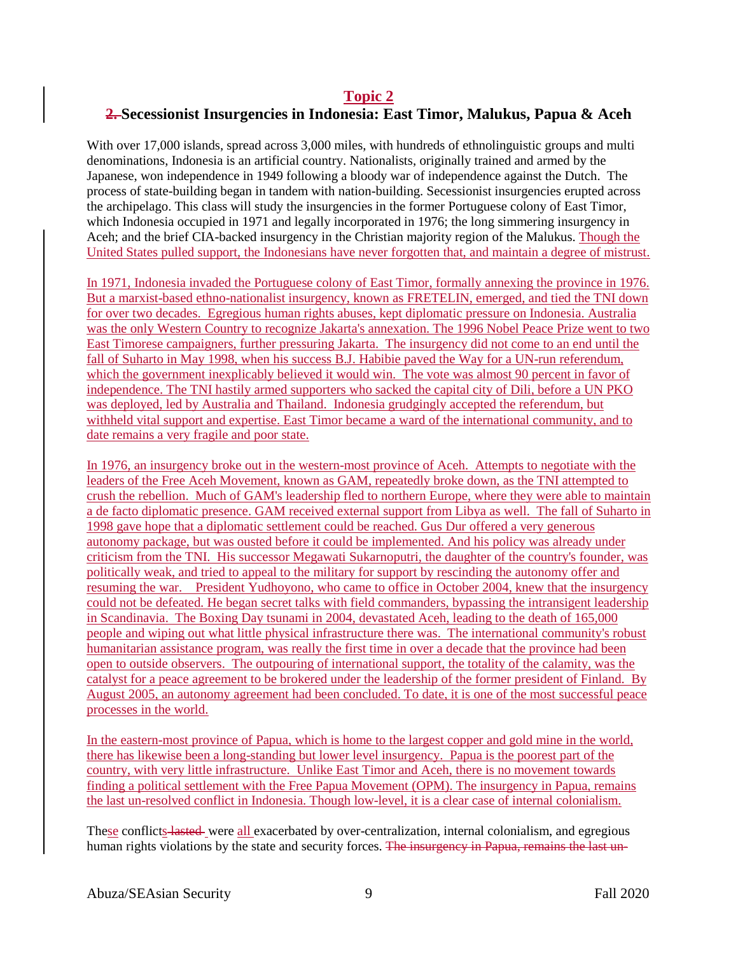## **Topic 2 2. Secessionist Insurgencies in Indonesia: East Timor, Malukus, Papua & Aceh**

With over 17,000 islands, spread across 3,000 miles, with hundreds of ethnolinguistic groups and multi denominations, Indonesia is an artificial country. Nationalists, originally trained and armed by the Japanese, won independence in 1949 following a bloody war of independence against the Dutch. The process of state-building began in tandem with nation-building. Secessionist insurgencies erupted across the archipelago. This class will study the insurgencies in the former Portuguese colony of East Timor, which Indonesia occupied in 1971 and legally incorporated in 1976; the long simmering insurgency in Aceh; and the brief CIA-backed insurgency in the Christian majority region of the Malukus. Though the United States pulled support, the Indonesians have never forgotten that, and maintain a degree of mistrust.

In 1971, Indonesia invaded the Portuguese colony of East Timor, formally annexing the province in 1976. But a marxist-based ethno-nationalist insurgency, known as FRETELIN, emerged, and tied the TNI down for over two decades. Egregious human rights abuses, kept diplomatic pressure on Indonesia. Australia was the only Western Country to recognize Jakarta's annexation. The 1996 Nobel Peace Prize went to two East Timorese campaigners, further pressuring Jakarta. The insurgency did not come to an end until the fall of Suharto in May 1998, when his success B.J. Habibie paved the Way for a UN-run referendum, which the government inexplicably believed it would win. The vote was almost 90 percent in favor of independence. The TNI hastily armed supporters who sacked the capital city of Dili, before a UN PKO was deployed, led by Australia and Thailand. Indonesia grudgingly accepted the referendum, but withheld vital support and expertise. East Timor became a ward of the international community, and to date remains a very fragile and poor state.

In 1976, an insurgency broke out in the western-most province of Aceh. Attempts to negotiate with the leaders of the Free Aceh Movement, known as GAM, repeatedly broke down, as the TNI attempted to crush the rebellion. Much of GAM's leadership fled to northern Europe, where they were able to maintain a de facto diplomatic presence. GAM received external support from Libya as well. The fall of Suharto in 1998 gave hope that a diplomatic settlement could be reached. Gus Dur offered a very generous autonomy package, but was ousted before it could be implemented. And his policy was already under criticism from the TNI. His successor Megawati Sukarnoputri, the daughter of the country's founder, was politically weak, and tried to appeal to the military for support by rescinding the autonomy offer and resuming the war. President Yudhoyono, who came to office in October 2004, knew that the insurgency could not be defeated. He began secret talks with field commanders, bypassing the intransigent leadership in Scandinavia. The Boxing Day tsunami in 2004, devastated Aceh, leading to the death of 165,000 people and wiping out what little physical infrastructure there was. The international community's robust humanitarian assistance program, was really the first time in over a decade that the province had been open to outside observers. The outpouring of international support, the totality of the calamity, was the catalyst for a peace agreement to be brokered under the leadership of the former president of Finland. By August 2005, an autonomy agreement had been concluded. To date, it is one of the most successful peace processes in the world.

In the eastern-most province of Papua, which is home to the largest copper and gold mine in the world, there has likewise been a long-standing but lower level insurgency. Papua is the poorest part of the country, with very little infrastructure. Unlike East Timor and Aceh, there is no movement towards finding a political settlement with the Free Papua Movement (OPM). The insurgency in Papua, remains the last un-resolved conflict in Indonesia. Though low-level, it is a clear case of internal colonialism.

These conflicts lasted were all exacerbated by over-centralization, internal colonialism, and egregious human rights violations by the state and security forces. The insurgency in Papua, remains the last un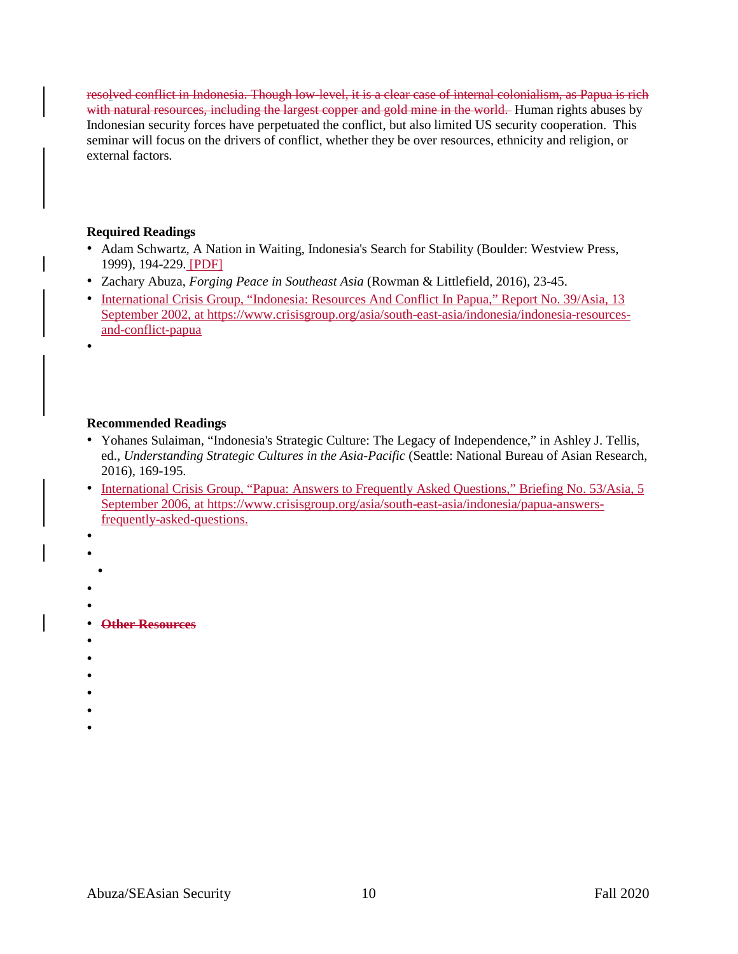resolved conflict in Indonesia. Though low-level, it is a clear case of internal colonialism, as Papua is rich with natural resources, including the largest copper and gold mine in the world. Human rights abuses by Indonesian security forces have perpetuated the conflict, but also limited US security cooperation. This seminar will focus on the drivers of conflict, whether they be over resources, ethnicity and religion, or external factors.

### **Required Readings**

- Adam Schwartz, A Nation in Waiting, Indonesia's Search for Stability (Boulder: Westview Press, 1999), 194-229. [PDF]
- Zachary Abuza, *Forging Peace in Southeast Asia* (Rowman & Littlefield, 2016), 23-45.
- International Crisis Group, "Indonesia: Resources And Conflict In Papua," Report No. 39/Asia, 13 September 2002, at [https://www.crisisgroup.org/asia/south-east-asia/indonesia/indonesia-resources](https://www.crisisgroup.org/asia/south-east-asia/indonesia/indonesia-resources-and-conflict-papua)[and-conflict-papua](https://www.crisisgroup.org/asia/south-east-asia/indonesia/indonesia-resources-and-conflict-papua)

## **Recommended Readings**

- Yohanes Sulaiman, "Indonesia's Strategic Culture: The Legacy of Independence," in Ashley J. Tellis, ed., *Understanding Strategic Cultures in the Asia-Pacific* (Seattle: National Bureau of Asian Research, 2016), 169-195.
- International Crisis Group, "Papua: Answers to Frequently Asked Questions," Briefing No. 53/Asia, 5 September 2006, at [https://www.crisisgroup.org/asia/south-east-asia/indonesia/papua-answers](https://www.crisisgroup.org/asia/south-east-asia/indonesia/papua-answers-frequently-asked-questions)[frequently-asked-questions.](https://www.crisisgroup.org/asia/south-east-asia/indonesia/papua-answers-frequently-asked-questions)
- •

•

- •
- •
- •
- 
- •
- **Other Resources**
- •
- •
- 
- •
- •
- •
- •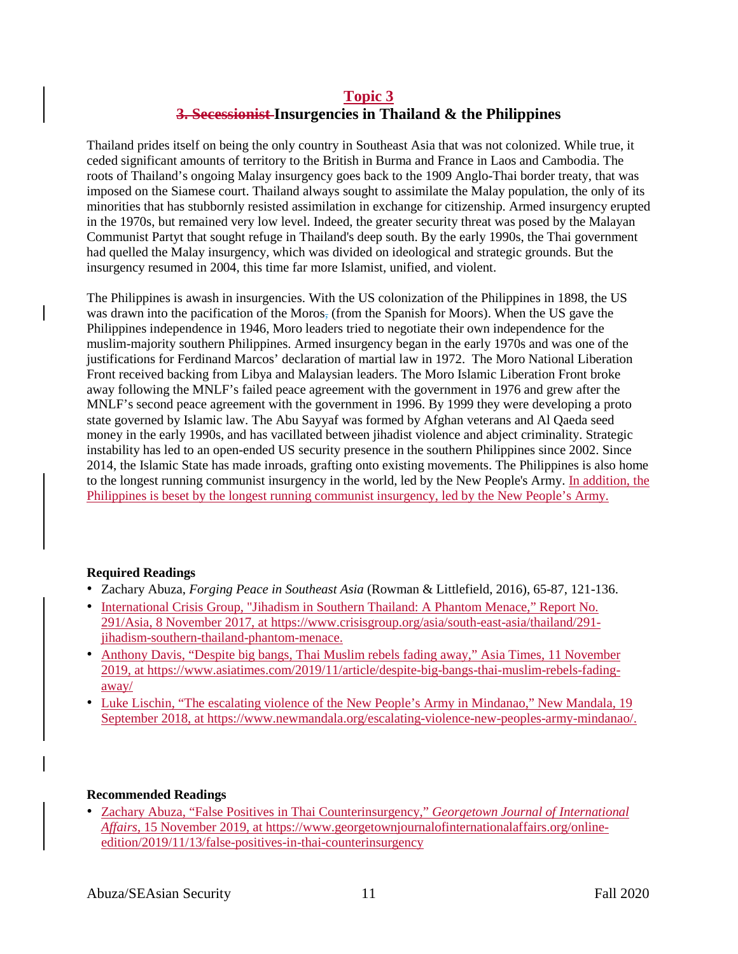## **Topic 3 3. Secessionist Insurgencies in Thailand & the Philippines**

Thailand prides itself on being the only country in Southeast Asia that was not colonized. While true, it ceded significant amounts of territory to the British in Burma and France in Laos and Cambodia. The roots of Thailand's ongoing Malay insurgency goes back to the 1909 Anglo-Thai border treaty, that was imposed on the Siamese court. Thailand always sought to assimilate the Malay population, the only of its minorities that has stubbornly resisted assimilation in exchange for citizenship. Armed insurgency erupted in the 1970s, but remained very low level. Indeed, the greater security threat was posed by the Malayan Communist Partyt that sought refuge in Thailand's deep south. By the early 1990s, the Thai government had quelled the Malay insurgency, which was divided on ideological and strategic grounds. But the insurgency resumed in 2004, this time far more Islamist, unified, and violent.

The Philippines is awash in insurgencies. With the US colonization of the Philippines in 1898, the US was drawn into the pacification of the Moros, (from the Spanish for Moors). When the US gave the Philippines independence in 1946, Moro leaders tried to negotiate their own independence for the muslim-majority southern Philippines. Armed insurgency began in the early 1970s and was one of the justifications for Ferdinand Marcos' declaration of martial law in 1972. The Moro National Liberation Front received backing from Libya and Malaysian leaders. The Moro Islamic Liberation Front broke away following the MNLF's failed peace agreement with the government in 1976 and grew after the MNLF's second peace agreement with the government in 1996. By 1999 they were developing a proto state governed by Islamic law. The Abu Sayyaf was formed by Afghan veterans and Al Qaeda seed money in the early 1990s, and has vacillated between jihadist violence and abject criminality. Strategic instability has led to an open-ended US security presence in the southern Philippines since 2002. Since 2014, the Islamic State has made inroads, grafting onto existing movements. The Philippines is also home to the longest running communist insurgency in the world, led by the New People's Army. In addition, the Philippines is beset by the longest running communist insurgency, led by the New People's Army.

## **Required Readings**

- Zachary Abuza, *Forging Peace in Southeast Asia* (Rowman & Littlefield, 2016), 65-87, 121-136.
- International Crisis Group, "Jihadism in Southern Thailand: A Phantom Menace," Report No. 291/Asia, 8 November 2017, at [https://www.crisisgroup.org/asia/south-east-asia/thailand/291](https://www.crisisgroup.org/asia/south-east-asia/thailand/291-jihadism-southern-thailand-phantom-menace) [jihadism-southern-thailand-phantom-menace.](https://www.crisisgroup.org/asia/south-east-asia/thailand/291-jihadism-southern-thailand-phantom-menace)
- Anthony Davis, "Despite big bangs, Thai Muslim rebels fading away," Asia Times, 11 November 2019, at [https://www.asiatimes.com/2019/11/article/despite-big-bangs-thai-muslim-rebels-fading](https://www.asiatimes.com/2019/11/article/despite-big-bangs-thai-muslim-rebels-fading-away/)[away/](https://www.asiatimes.com/2019/11/article/despite-big-bangs-thai-muslim-rebels-fading-away/)
- Luke Lischin, "The escalating violence of the New People's Army in Mindanao," New Mandala, 19 September 2018, at [https://www.newmandala.org/escalating-violence-new-peoples-army-mindanao/.](https://www.newmandala.org/escalating-violence-new-peoples-army-mindanao/)

#### **Recommended Readings**

• Zachary Abuza, "False Positives in Thai Counterinsurgency," *Georgetown Journal of International Affairs*, 15 November 2019, at [https://www.georgetownjournalofinternationalaffairs.org/online](https://www.georgetownjournalofinternationalaffairs.org/online-edition/2019/11/13/false-positives-in-thai-counterinsurgency)[edition/2019/11/13/false-positives-in-thai-counterinsurgency](https://www.georgetownjournalofinternationalaffairs.org/online-edition/2019/11/13/false-positives-in-thai-counterinsurgency)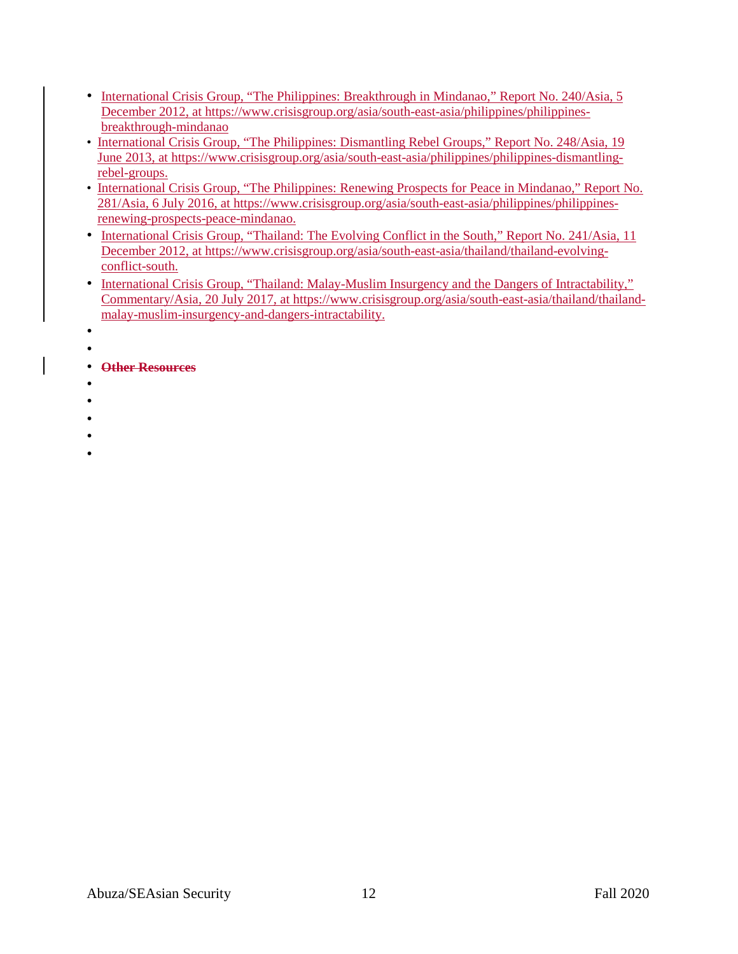- International Crisis Group, "The Philippines: Breakthrough in Mindanao," Report No. 240/Asia, 5 December 2012, at [https://www.crisisgroup.org/asia/south-east-asia/philippines/philippines](https://www.crisisgroup.org/asia/south-east-asia/philippines/philippines-breakthrough-mindanao)[breakthrough-mindanao](https://www.crisisgroup.org/asia/south-east-asia/philippines/philippines-breakthrough-mindanao)
- International Crisis Group, "The Philippines: Dismantling Rebel Groups," Report No. 248/Asia, 19 June 2013, at [https://www.crisisgroup.org/asia/south-east-asia/philippines/philippines-dismantling](https://www.crisisgroup.org/asia/south-east-asia/philippines/philippines-dismantling-rebel-groups)[rebel-groups.](https://www.crisisgroup.org/asia/south-east-asia/philippines/philippines-dismantling-rebel-groups)
- International Crisis Group, "The Philippines: Renewing Prospects for Peace in Mindanao," Report No. 281/Asia, 6 July 2016, at [https://www.crisisgroup.org/asia/south-east-asia/philippines/philippines](https://www.crisisgroup.org/asia/south-east-asia/philippines/philippines-renewing-prospects-peace-mindanao)[renewing-prospects-peace-mindanao.](https://www.crisisgroup.org/asia/south-east-asia/philippines/philippines-renewing-prospects-peace-mindanao)
- International Crisis Group, "Thailand: The Evolving Conflict in the South," Report No. 241/Asia, 11 December 2012, at [https://www.crisisgroup.org/asia/south-east-asia/thailand/thailand-evolving](https://www.crisisgroup.org/asia/south-east-asia/thailand/thailand-evolving-conflict-south)[conflict-south.](https://www.crisisgroup.org/asia/south-east-asia/thailand/thailand-evolving-conflict-south)
- International Crisis Group, "Thailand: Malay-Muslim Insurgency and the Dangers of Intractability," Commentary/Asia, 20 July 2017, at [https://www.crisisgroup.org/asia/south-east-asia/thailand/thailand](https://www.crisisgroup.org/asia/south-east-asia/thailand/thailand-malay-muslim-insurgency-and-dangers-intractability)[malay-muslim-insurgency-and-dangers-intractability.](https://www.crisisgroup.org/asia/south-east-asia/thailand/thailand-malay-muslim-insurgency-and-dangers-intractability)
- •
- •
- **Other Resources**
- -
- •
- 
- •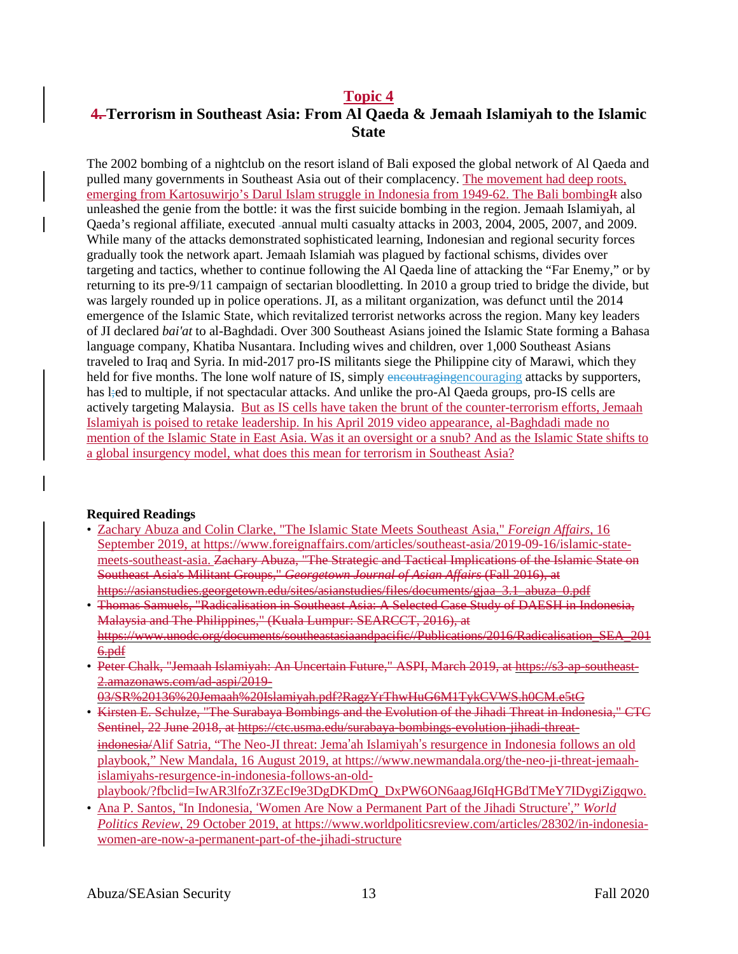## **Topic 4**

# **4. Terrorism in Southeast Asia: From Al Qaeda & Jemaah Islamiyah to the Islamic State**

The 2002 bombing of a nightclub on the resort island of Bali exposed the global network of Al Qaeda and pulled many governments in Southeast Asia out of their complacency. The movement had deep roots, emerging from Kartosuwirjo's Darul Islam struggle in Indonesia from 1949-62. The Bali bombing H also unleashed the genie from the bottle: it was the first suicide bombing in the region. Jemaah Islamiyah, al Qaeda's regional affiliate, executed annual multi casualty attacks in 2003, 2004, 2005, 2007, and 2009. While many of the attacks demonstrated sophisticated learning, Indonesian and regional security forces gradually took the network apart. Jemaah Islamiah was plagued by factional schisms, divides over targeting and tactics, whether to continue following the Al Qaeda line of attacking the "Far Enemy," or by returning to its pre-9/11 campaign of sectarian bloodletting. In 2010 a group tried to bridge the divide, but was largely rounded up in police operations. JI, as a militant organization, was defunct until the 2014 emergence of the Islamic State, which revitalized terrorist networks across the region. Many key leaders of JI declared *bai'at* to al-Baghdadi. Over 300 Southeast Asians joined the Islamic State forming a Bahasa language company, Khatiba Nusantara. Including wives and children, over 1,000 Southeast Asians traveled to Iraq and Syria. In mid-2017 pro-IS militants siege the Philippine city of Marawi, which they held for five months. The lone wolf nature of IS, simply encouraging encouraging attacks by supporters, has l;ed to multiple, if not spectacular attacks. And unlike the pro-Al Qaeda groups, pro-IS cells are actively targeting Malaysia. But as IS cells have taken the brunt of the counter-terrorism efforts, Jemaah Islamiyah is poised to retake leadership. In his April 2019 video appearance, al-Baghdadi made no mention of the Islamic State in East Asia. Was it an oversight or a snub? And as the Islamic State shifts to a global insurgency model, what does this mean for terrorism in Southeast Asia?

#### **Required Readings**

- Zachary Abuza and Colin Clarke, "The Islamic State Meets Southeast Asia," *Foreign Affairs*, 16 September 2019, at [https://www.foreignaffairs.com/articles/southeast-asia/2019-09-16/islamic-state](https://www.foreignaffairs.com/articles/southeast-asia/2019-09-16/islamic-state-meets-southeast-asia)[meets-southeast-asia.](https://www.foreignaffairs.com/articles/southeast-asia/2019-09-16/islamic-state-meets-southeast-asia) Zachary Abuza, "The Strategic and Tactical Implications of the Islamic State on Southeast Asia's Militant Groups," *Georgetown Journal of Asian Affairs* (Fall 2016), at https://asianstudies.georgetown.edu/sites/asianstudies/files/documents/gjaa\_3.1\_abuza\_0.pdf
- Thomas Samuels, "Radicalisation in Southeast Asia: A Selected Case Study of DAESH in Indonesia, Malaysia and The Philippines," (Kuala Lumpur: SEARCCT, 2016), at https://www.unodc.org/documents/southeastasiaandpacific//Publications/2016/Radicalisation\_SEA\_201 6.pdf
- Peter Chalk, "Jemaah Islamiyah: An Uncertain Future," ASPI, March 2019, at https://s3-ap-southeast-2.amazonaws.com/ad-aspi/2019-
- 03/SR%20136%20Jemaah%20Islamiyah.pdf?RagzYrThwHuG6M1TykCVWS.h0CM.e5tG
- Kirsten E. Schulze, "The Surabaya Bombings and the Evolution of the Jihadi Threat in Indonesia," CTC Sentinel, 22 June 2018, at https://ctc.usma.edu/surabaya-bombings-evolution-jihadi-threatindonesia/Alif Satria, "The Neo-JI threat: Jema'ah Islamiyah's resurgence in Indonesia follows an old playbook," New Mandala, 16 August 2019, at [https://www.newmandala.org/the-neo-ji-threat-jemaah](https://www.newmandala.org/the-neo-ji-threat-jemaah-islamiyahs-resurgence-in-indonesia-follows-an-old-playbook/?fbclid=IwAR3lfoZr3ZEcI9e3DgDKDmQ_DxPW6ON6aagJ6IqHGBdTMeY7IDygiZigqwo)[islamiyahs-resurgence-in-indonesia-follows-an-old](https://www.newmandala.org/the-neo-ji-threat-jemaah-islamiyahs-resurgence-in-indonesia-follows-an-old-playbook/?fbclid=IwAR3lfoZr3ZEcI9e3DgDKDmQ_DxPW6ON6aagJ6IqHGBdTMeY7IDygiZigqwo)[playbook/?fbclid=IwAR3lfoZr3ZEcI9e3DgDKDmQ\\_DxPW6ON6aagJ6IqHGBdTMeY7IDygiZigqwo.](https://www.newmandala.org/the-neo-ji-threat-jemaah-islamiyahs-resurgence-in-indonesia-follows-an-old-playbook/?fbclid=IwAR3lfoZr3ZEcI9e3DgDKDmQ_DxPW6ON6aagJ6IqHGBdTMeY7IDygiZigqwo)
- Ana P. Santos, "In Indonesia, 'Women Are Now a Permanent Part of the Jihadi Structure'," *World Politics Review*, 29 October 2019, at [https://www.worldpoliticsreview.com/articles/28302/in-indonesia](https://www.worldpoliticsreview.com/articles/28302/in-indonesia-women-are-now-a-permanent-part-of-the-jihadi-structure)[women-are-now-a-permanent-part-of-the-jihadi-structure](https://www.worldpoliticsreview.com/articles/28302/in-indonesia-women-are-now-a-permanent-part-of-the-jihadi-structure)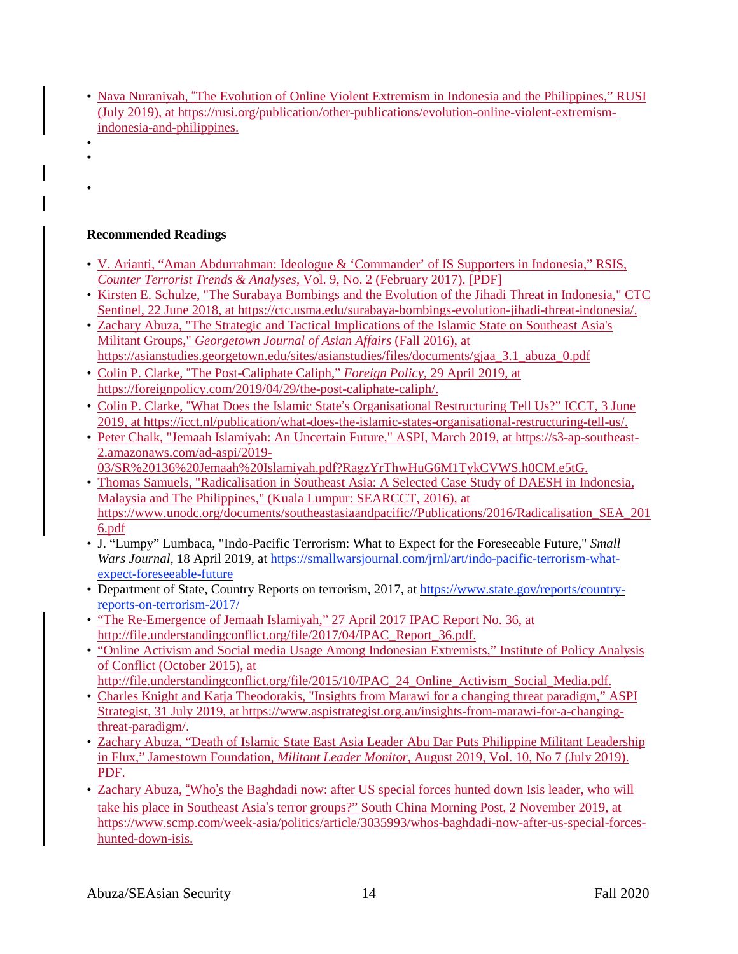- Nava Nuraniyah, "The Evolution of Online Violent Extremism in Indonesia and the Philippines," RUSI (July 2019), at [https://rusi.org/publication/other-publications/evolution-online-violent-extremism](https://rusi.org/publication/other-publications/evolution-online-violent-extremism-indonesia-and-philippines)[indonesia-and-philippines.](https://rusi.org/publication/other-publications/evolution-online-violent-extremism-indonesia-and-philippines)
- •
- •
- •

# **Recommended Readings**

- V. Arianti, "Aman Abdurrahman: Ideologue & 'Commander' of IS Supporters in Indonesia," RSIS, *Counter Terrorist Trends & Analyses*, Vol. 9, No. 2 (February 2017). [PDF]
- Kirsten E. Schulze, "The Surabaya Bombings and the Evolution of the Jihadi Threat in Indonesia," CTC Sentinel, 22 June 2018, at [https://ctc.usma.edu/surabaya-bombings-evolution-jihadi-threat-indonesia/.](https://ctc.usma.edu/surabaya-bombings-evolution-jihadi-threat-indonesia/)
- Zachary Abuza, "The Strategic and Tactical Implications of the Islamic State on Southeast Asia's Militant Groups," *Georgetown Journal of Asian Affairs* (Fall 2016), at [https://asianstudies.georgetown.edu/sites/asianstudies/files/documents/gjaa\\_3.1\\_abuza\\_0.pdf](https://asianstudies.georgetown.edu/sites/asianstudies/files/documents/gjaa_3.1_abuza_0.pdf)
- Colin P. Clarke, "The Post-Caliphate Caliph," *Foreign Policy*, 29 April 2019, at [https://foreignpolicy.com/2019/04/29/the-post-caliphate-caliph/.](https://foreignpolicy.com/2019/04/29/the-post-caliphate-caliph/)
- Colin P. Clarke, "What Does the Islamic State's Organisational Restructuring Tell Us?" ICCT, 3 June 2019, at [https://icct.nl/publication/what-does-the-islamic-states-organisational-restructuring-tell-us/.](https://icct.nl/publication/what-does-the-islamic-states-organisational-restructuring-tell-us/)
- Peter Chalk, "Jemaah Islamiyah: An Uncertain Future," ASPI, March 2019, at [https://s3-ap-southeast-](https://s3-ap-southeast-2.amazonaws.com/ad-aspi/2019-03/SR%2520136%2520Jemaah%2520Islamiyah.pdf?RagzYrThwHuG6M1TykCVWS.h0CM.e5tG)[2.amazonaws.com/ad-aspi/2019-](https://s3-ap-southeast-2.amazonaws.com/ad-aspi/2019-03/SR%2520136%2520Jemaah%2520Islamiyah.pdf?RagzYrThwHuG6M1TykCVWS.h0CM.e5tG) [03/SR%20136%20Jemaah%20Islamiyah.pdf?RagzYrThwHuG6M1TykCVWS.h0CM.e5tG.](https://s3-ap-southeast-2.amazonaws.com/ad-aspi/2019-03/SR%2520136%2520Jemaah%2520Islamiyah.pdf?RagzYrThwHuG6M1TykCVWS.h0CM.e5tG)
- Thomas Samuels, "Radicalisation in Southeast Asia: A Selected Case Study of DAESH in Indonesia, Malaysia and The Philippines," (Kuala Lumpur: SEARCCT, 2016), at [https://www.unodc.org/documents/southeastasiaandpacific//Publications/2016/Radicalisation\\_SEA\\_201](https://www.unodc.org/documents/southeastasiaandpacific/Publications/2016/Radicalisation_SEA_2016.pdf) [6.pdf](https://www.unodc.org/documents/southeastasiaandpacific/Publications/2016/Radicalisation_SEA_2016.pdf)
- J. "Lumpy" Lumbaca, "Indo-Pacific Terrorism: What to Expect for the Foreseeable Future," *Small Wars Journal,* 18 April 2019, at [https://smallwarsjournal.com/jrnl/art/indo-pacific-terrorism-what](https://smallwarsjournal.com/jrnl/art/indo-pacific-terrorism-what-expect-foreseeable-future)[expect-foreseeable-future](https://smallwarsjournal.com/jrnl/art/indo-pacific-terrorism-what-expect-foreseeable-future)
- Department of State, Country Reports on terrorism, 2017, at [https://www.state.gov/reports/country](https://www.state.gov/reports/country-reports-on-terrorism-2017/)[reports-on-terrorism-2017/](https://www.state.gov/reports/country-reports-on-terrorism-2017/)
- "The Re-Emergence of Jemaah Islamiyah," 27 April 2017 IPAC Report No. 36, at [http://file.understandingconflict.org/file/2017/04/IPAC\\_Report\\_36.pdf.](http://file.understandingconflict.org/file/2017/04/IPAC_Report_36.pdf)
- "Online Activism and Social media Usage Among Indonesian Extremists," Institute of Policy Analysis of Conflict (October 2015), at
- [http://file.understandingconflict.org/file/2015/10/IPAC\\_24\\_Online\\_Activism\\_Social\\_Media.pdf.](http://file.understandingconflict.org/file/2015/10/IPAC_24_Online_Activism_Social_Media.pdf)
- Charles Knight and Katja Theodorakis, "Insights from Marawi for a changing threat paradigm," ASPI Strategist, 31 July 2019, at [https://www.aspistrategist.org.au/insights-from-marawi-for-a-changing](https://www.aspistrategist.org.au/insights-from-marawi-for-a-changing-threat-paradigm/)[threat-paradigm/.](https://www.aspistrategist.org.au/insights-from-marawi-for-a-changing-threat-paradigm/)
- Zachary Abuza, "Death of Islamic State East Asia Leader Abu Dar Puts Philippine Militant Leadership in Flux," Jamestown Foundation, *Militant Leader Monitor*, August 2019, Vol. 10, No 7 (July 2019). PDF.
- Zachary Abuza, "Who's the Baghdadi now: after US special forces hunted down Isis leader, who will take his place in Southeast Asia's terror groups?" South China Morning Post, 2 November 2019, at [https://www.scmp.com/week-asia/politics/article/3035993/whos-baghdadi-now-after-us-special-forces](https://www.scmp.com/week-asia/politics/article/3035993/whos-baghdadi-now-after-us-special-forces-hunted-down-isis)[hunted-down-isis.](https://www.scmp.com/week-asia/politics/article/3035993/whos-baghdadi-now-after-us-special-forces-hunted-down-isis)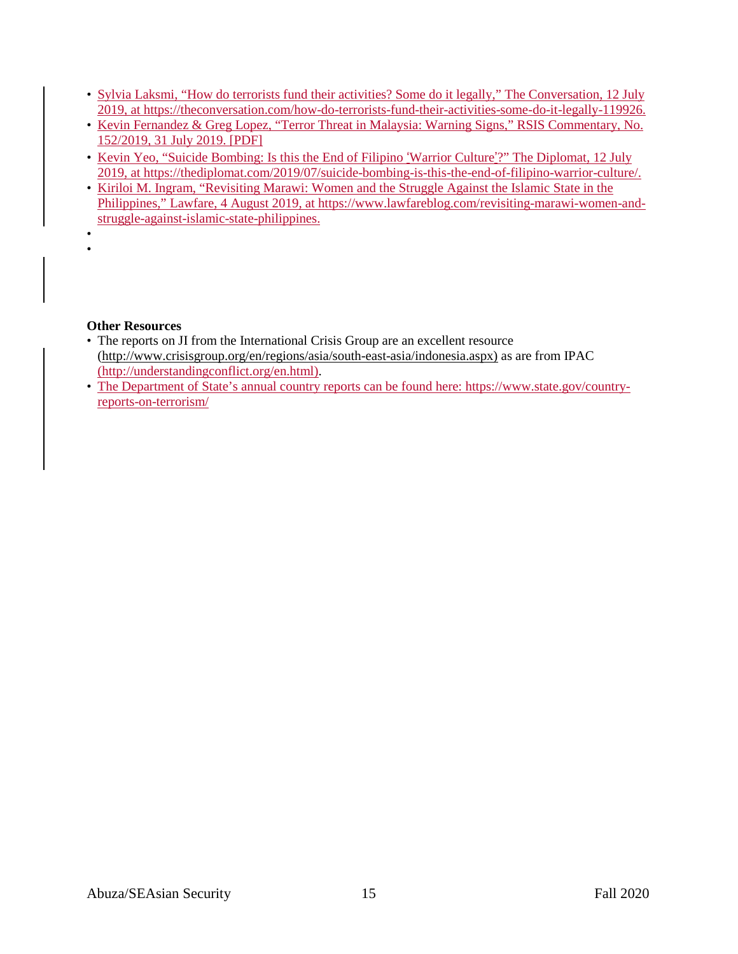- Sylvia Laksmi, "How do terrorists fund their activities? Some do it legally," The Conversation, 12 July 2019, at [https://theconversation.com/how-do-terrorists-fund-their-activities-some-do-it-legally-119926.](https://theconversation.com/how-do-terrorists-fund-their-activities-some-do-it-legally-119926)
- Kevin Fernandez & Greg Lopez, "Terror Threat in Malaysia: Warning Signs," RSIS Commentary, No. 152/2019, 31 July 2019. [PDF]
- Kevin Yeo, "Suicide Bombing: Is this the End of Filipino 'Warrior Culture'?" The Diplomat, 12 July 2019, at [https://thediplomat.com/2019/07/suicide-bombing-is-this-the-end-of-filipino-warrior-culture/.](https://thediplomat.com/2019/07/suicide-bombing-is-this-the-end-of-filipino-warrior-culture/)
- Kiriloi M. Ingram, "Revisiting Marawi: Women and the Struggle Against the Islamic State in the Philippines," Lawfare, 4 August 2019, at [https://www.lawfareblog.com/revisiting-marawi-women-and](https://www.lawfareblog.com/revisiting-marawi-women-and-struggle-against-islamic-state-philippines)[struggle-against-islamic-state-philippines.](https://www.lawfareblog.com/revisiting-marawi-women-and-struggle-against-islamic-state-philippines)
- •

## **Other Resources**

- The reports on JI from the International Crisis Group are an excellent resource [\(http://www.crisisgroup.org/en/regions/asia/south-east-asia/indonesia.aspx\)](http://www.crisisgroup.org/en/regions/asia/south-east-asia/indonesia.aspx)) as are from IPAC [\(http://understandingconflict.org/en.html\)](http://understandingconflict.org/en.html).
- The Department of State's annual country reports can be found here: [https://www.state.gov/country](https://www.state.gov/country-reports-on-terrorism/)[reports-on-terrorism/](https://www.state.gov/country-reports-on-terrorism/)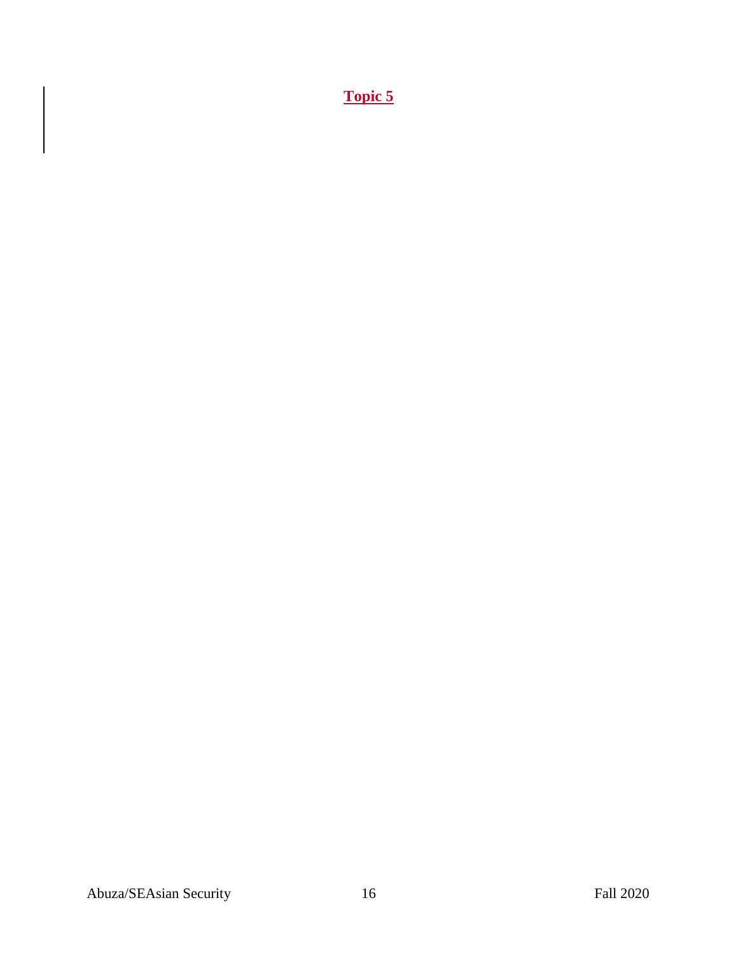**Topic 5**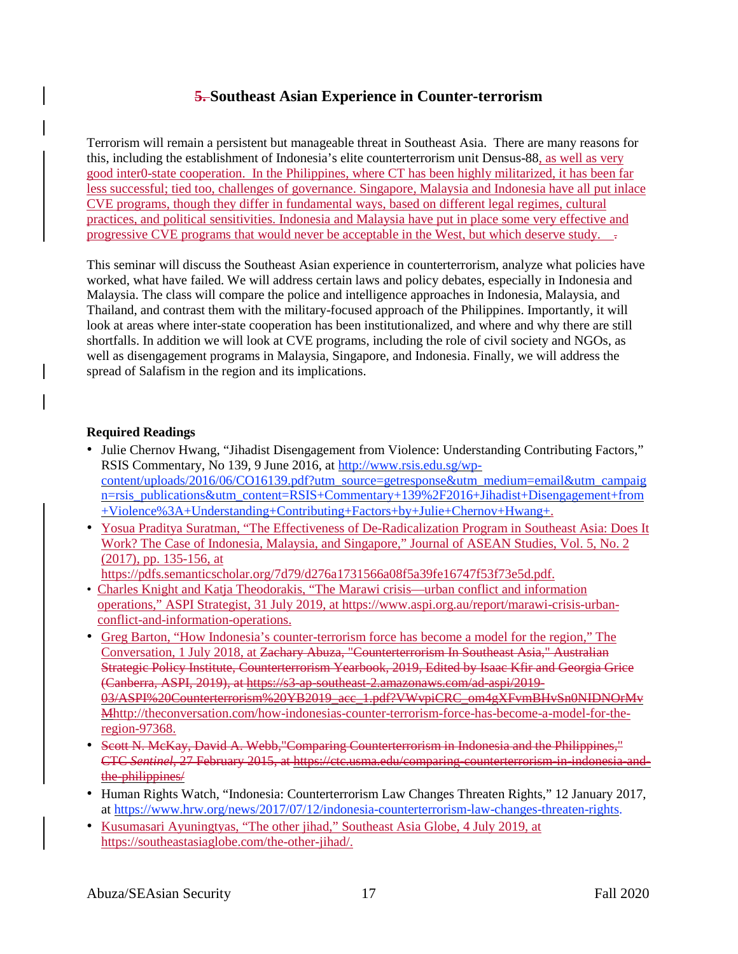## **5. Southeast Asian Experience in Counter-terrorism**

Terrorism will remain a persistent but manageable threat in Southeast Asia. There are many reasons for this, including the establishment of Indonesia's elite counterterrorism unit Densus-88, as well as very good inter0-state cooperation. In the Philippines, where CT has been highly militarized, it has been far less successful; tied too, challenges of governance. Singapore, Malaysia and Indonesia have all put inlace CVE programs, though they differ in fundamental ways, based on different legal regimes, cultural practices, and political sensitivities. Indonesia and Malaysia have put in place some very effective and progressive CVE programs that would never be acceptable in the West, but which deserve study.

This seminar will discuss the Southeast Asian experience in counterterrorism, analyze what policies have worked, what have failed. We will address certain laws and policy debates, especially in Indonesia and Malaysia. The class will compare the police and intelligence approaches in Indonesia, Malaysia, and Thailand, and contrast them with the military-focused approach of the Philippines. Importantly, it will look at areas where inter-state cooperation has been institutionalized, and where and why there are still shortfalls. In addition we will look at CVE programs, including the role of civil society and NGOs, as well as disengagement programs in Malaysia, Singapore, and Indonesia. Finally, we will address the spread of Salafism in the region and its implications.

### **Required Readings**

- Julie Chernov Hwang, "Jihadist Disengagement from Violence: Understanding Contributing Factors," RSIS Commentary, No 139, 9 June 2016, at [http://www.rsis.edu.sg/wp](http://www.rsis.edu.sg/wp-content/uploads/2016/06/CO16139.pdf?utm_source=getresponse&utm_medium=email&utm_campaign=rsis_publications&utm_content=RSIS+Commentary+139%252F2016+Jihadist+Disengagement+from+Violence%253A+Understanding+Contributing+Factors+by+Julie+Chernov+Hwang+)[content/uploads/2016/06/CO16139.pdf?utm\\_source=getresponse&utm\\_medium=email&utm\\_campaig](http://www.rsis.edu.sg/wp-content/uploads/2016/06/CO16139.pdf?utm_source=getresponse&utm_medium=email&utm_campaign=rsis_publications&utm_content=RSIS+Commentary+139%252F2016+Jihadist+Disengagement+from+Violence%253A+Understanding+Contributing+Factors+by+Julie+Chernov+Hwang+) [n=rsis\\_publications&utm\\_content=RSIS+Commentary+139%2F2016+Jihadist+Disengagement+from](http://www.rsis.edu.sg/wp-content/uploads/2016/06/CO16139.pdf?utm_source=getresponse&utm_medium=email&utm_campaign=rsis_publications&utm_content=RSIS+Commentary+139%252F2016+Jihadist+Disengagement+from+Violence%253A+Understanding+Contributing+Factors+by+Julie+Chernov+Hwang+) [+Violence%3A+Understanding+Contributing+Factors+by+Julie+Chernov+Hwang+.](http://www.rsis.edu.sg/wp-content/uploads/2016/06/CO16139.pdf?utm_source=getresponse&utm_medium=email&utm_campaign=rsis_publications&utm_content=RSIS+Commentary+139%252F2016+Jihadist+Disengagement+from+Violence%253A+Understanding+Contributing+Factors+by+Julie+Chernov+Hwang+)
- Yosua Praditya Suratman, "The Effectiveness of De-Radicalization Program in Southeast Asia: Does It Work? The Case of Indonesia, Malaysia, and Singapore," Journal of ASEAN Studies, Vol. 5, No. 2 (2017), pp. 135-156, at

[https://pdfs.semanticscholar.org/7d79/d276a1731566a08f5a39fe16747f53f73e5d.pdf.](https://pdfs.semanticscholar.org/7d79/d276a1731566a08f5a39fe16747f53f73e5d.pdf)

- Charles Knight and Katja Theodorakis, "The Marawi crisis—urban conflict and information operations," ASPI Strategist, 31 July 2019, at [https://www.aspi.org.au/report/marawi-crisis-urban](https://www.aspi.org.au/report/marawi-crisis-urban-conflict-and-information-operations)[conflict-and-information-operations.](https://www.aspi.org.au/report/marawi-crisis-urban-conflict-and-information-operations)
- Greg Barton, "How Indonesia's counter-terrorism force has become a model for the region," The Conversation, 1 July 2018, at Zachary Abuza, "Counterterrorism In Southeast Asia," Australian Strategic Policy Institute, Counterterrorism Yearbook, 2019, Edited by Isaac Kfir and Georgia Grice (Canberra, ASPI, 2019), at https://s3-ap-southeast-2.amazonaws.com/ad-aspi/2019- 03/ASPI%20Counterterrorism%20YB2019\_acc\_1.pdf?VWvpiCRC\_om4gXFvmBHvSn0NIDNOrMv [Mhttp://theconversation.com/how-indonesias-counter-terrorism-force-has-become-a-model-for-the](http://theconversation.com/how-indonesias-counter-terrorism-force-has-become-a-model-for-the-region-97368)[region-97368.](http://theconversation.com/how-indonesias-counter-terrorism-force-has-become-a-model-for-the-region-97368)
- Scott N. McKay, David A. Webb, "Comparing Counterterrorism in Indonesia and the Philippines," CTC *Sentinel*, 27 February 2015, at https://ctc.usma.edu/comparing-counterterrorism-in-indonesia-andthe-philippines/
- Human Rights Watch, "Indonesia: Counterterrorism Law Changes Threaten Rights," 12 January 2017, at [https://www.hrw.org/news/2017/07/12/indonesia-counterterrorism-law-changes-threaten-rights.](https://www.hrw.org/news/2017/07/12/indonesia-counterterrorism-law-changes-threaten-rights)
- Kusumasari Ayuningtyas, "The other jihad," Southeast Asia Globe, 4 July 2019, at [https://southeastasiaglobe.com/the-other-jihad/.](https://southeastasiaglobe.com/the-other-jihad/)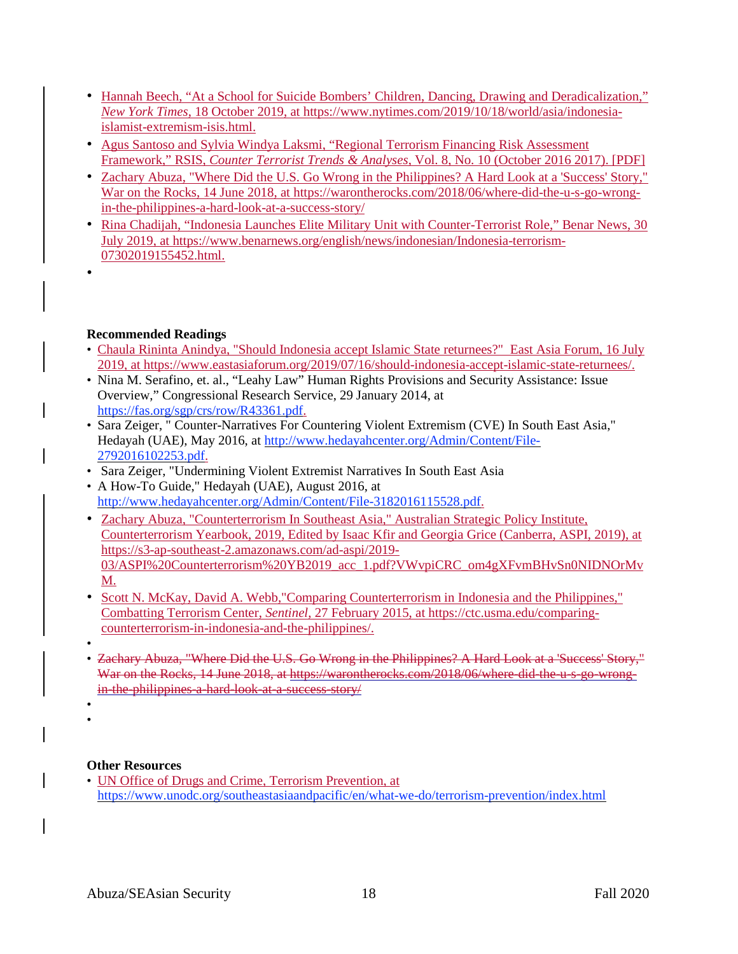- Hannah Beech, "At a School for Suicide Bombers' Children, Dancing, Drawing and Deradicalization," *New York Times*, 18 October 2019, at [https://www.nytimes.com/2019/10/18/world/asia/indonesia](https://www.nytimes.com/2019/10/18/world/asia/indonesia-islamist-extremism-isis.html)[islamist-extremism-isis.html.](https://www.nytimes.com/2019/10/18/world/asia/indonesia-islamist-extremism-isis.html)
- Agus Santoso and Sylvia Windya Laksmi, "Regional Terrorism Financing Risk Assessment Framework," RSIS, *Counter Terrorist Trends & Analyses*, Vol. 8, No. 10 (October 2016 2017). [PDF]
- Zachary Abuza, "Where Did the U.S. Go Wrong in the Philippines? A Hard Look at a 'Success' Story," War on the Rocks, 14 June 2018, at [https://warontherocks.com/2018/06/where-did-the-u-s-go-wrong](https://warontherocks.com/2018/06/where-did-the-u-s-go-wrong-in-the-philippines-a-hard-look-at-a-success-story/)[in-the-philippines-a-hard-look-at-a-success-story/](https://warontherocks.com/2018/06/where-did-the-u-s-go-wrong-in-the-philippines-a-hard-look-at-a-success-story/)
- Rina Chadijah, "Indonesia Launches Elite Military Unit with Counter-Terrorist Role," Benar News, 30 July 2019, at [https://www.benarnews.org/english/news/indonesian/Indonesia-terrorism-](https://www.benarnews.org/english/news/indonesian/Indonesia-terrorism-07302019155452.html)[07302019155452.html.](https://www.benarnews.org/english/news/indonesian/Indonesia-terrorism-07302019155452.html)
- •

## **Recommended Readings**

- Chaula Rininta Anindya, "Should Indonesia accept Islamic State returnees?" East Asia Forum, 16 July 2019, at https://www.eastasiaforum.org/2019/07/16/should-indonesia-accept-islamic-state-returnees/.
- Nina M. Serafino, et. al., "Leahy Law" Human Rights Provisions and Security Assistance: Issue Overview," Congressional Research Service, 29 January 2014, at [https://fas.org/sgp/crs/row/R43361.pdf.](https://fas.org/sgp/crs/row/R43361.pdf)
- Sara Zeiger, " Counter-Narratives For Countering Violent Extremism (CVE) In South East Asia," Hedayah (UAE), May 2016, at [http://www.hedayahcenter.org/Admin/Content/File-](http://www.hedayahcenter.org/Admin/Content/File-2792016102253.pdf)[2792016102253.pdf.](http://www.hedayahcenter.org/Admin/Content/File-2792016102253.pdf)
- Sara Zeiger, "Undermining Violent Extremist Narratives In South East Asia
- A How-To Guide," Hedayah (UAE), August 2016, at [http://www.hedayahcenter.org/Admin/Content/File-3182016115528.pdf.](http://www.hedayahcenter.org/Admin/Content/File-3182016115528.pdf)
- Zachary Abuza, "Counterterrorism In Southeast Asia," Australian Strategic Policy Institute, Counterterrorism Yearbook, 2019, Edited by Isaac Kfir and Georgia Grice (Canberra, ASPI, 2019), at [https://s3-ap-southeast-2.amazonaws.com/ad-aspi/2019-](https://s3-ap-southeast-2.amazonaws.com/ad-aspi/2019-03/ASPI%2520Counterterrorism%2520YB2019_acc_1.pdf?VWvpiCRC_om4gXFvmBHvSn0NIDNOrMvM) [03/ASPI%20Counterterrorism%20YB2019\\_acc\\_1.pdf?VWvpiCRC\\_om4gXFvmBHvSn0NIDNOrMv](https://s3-ap-southeast-2.amazonaws.com/ad-aspi/2019-03/ASPI%2520Counterterrorism%2520YB2019_acc_1.pdf?VWvpiCRC_om4gXFvmBHvSn0NIDNOrMvM) [M.](https://s3-ap-southeast-2.amazonaws.com/ad-aspi/2019-03/ASPI%2520Counterterrorism%2520YB2019_acc_1.pdf?VWvpiCRC_om4gXFvmBHvSn0NIDNOrMvM)
- Scott N. McKay, David A. Webb,"Comparing Counterterrorism in Indonesia and the Philippines," Combatting Terrorism Center, *Sentinel*, 27 February 2015, at [https://ctc.usma.edu/comparing](https://ctc.usma.edu/comparing-counterterrorism-in-indonesia-and-the-philippines/)[counterterrorism-in-indonesia-and-the-philippines/.](https://ctc.usma.edu/comparing-counterterrorism-in-indonesia-and-the-philippines/)
- • Zachary Abuza, "Where Did the U.S. Go Wrong in the Philippines? A Hard Look at a 'Success' Story," War on the Rocks, 14 June 2018, at https://warontherocks.com/2018/06/where-did-the-u-s-go-wrongin-the-philippines-a-hard-look-at-a-success-story/
- •
- •

## **Other Resources**

• UN Office of Drugs and Crime, Terrorism Prevention, at <https://www.unodc.org/southeastasiaandpacific/en/what-we-do/terrorism-prevention/index.html>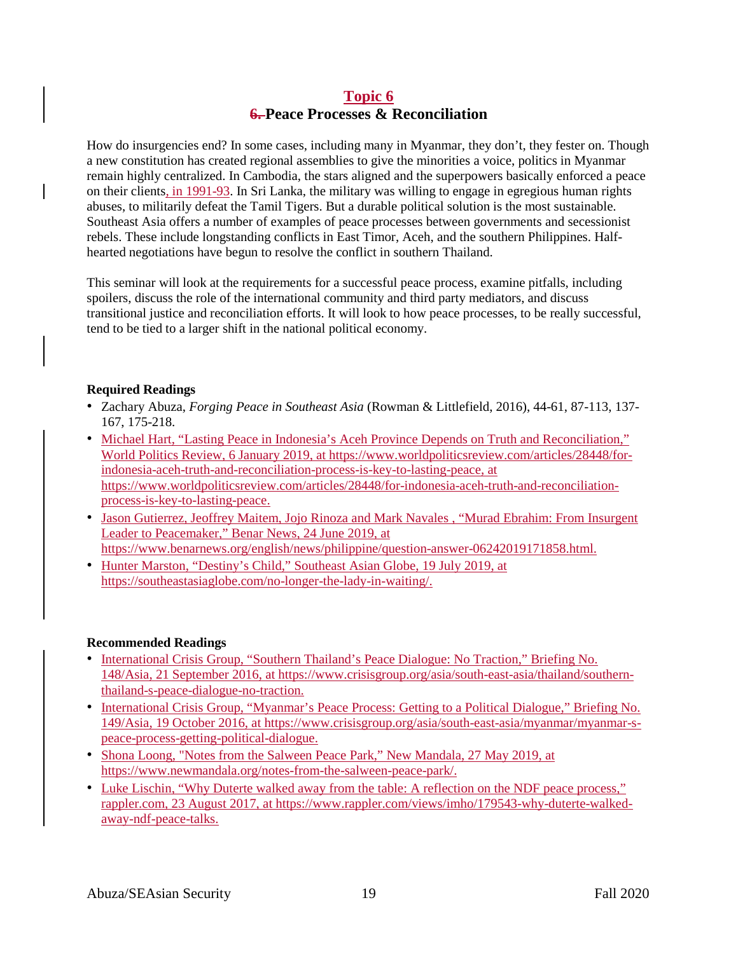## **Topic 6 6. Peace Processes & Reconciliation**

How do insurgencies end? In some cases, including many in Myanmar, they don't, they fester on. Though a new constitution has created regional assemblies to give the minorities a voice, politics in Myanmar remain highly centralized. In Cambodia, the stars aligned and the superpowers basically enforced a peace on their clients, in 1991-93. In Sri Lanka, the military was willing to engage in egregious human rights abuses, to militarily defeat the Tamil Tigers. But a durable political solution is the most sustainable. Southeast Asia offers a number of examples of peace processes between governments and secessionist rebels. These include longstanding conflicts in East Timor, Aceh, and the southern Philippines. Halfhearted negotiations have begun to resolve the conflict in southern Thailand.

This seminar will look at the requirements for a successful peace process, examine pitfalls, including spoilers, discuss the role of the international community and third party mediators, and discuss transitional justice and reconciliation efforts. It will look to how peace processes, to be really successful, tend to be tied to a larger shift in the national political economy.

### **Required Readings**

- Zachary Abuza, *Forging Peace in Southeast Asia* (Rowman & Littlefield, 2016), 44-61, 87-113, 137- 167, 175-218.
- Michael Hart, "Lasting Peace in Indonesia's Aceh Province Depends on Truth and Reconciliation," World Politics Review, 6 January 2019, at [https://www.worldpoliticsreview.com/articles/28448/for](https://www.worldpoliticsreview.com/articles/28448/for-indonesia-aceh-truth-and-reconciliation-process-is-key-to-lasting-peace)[indonesia-aceh-truth-and-reconciliation-process-is-key-to-lasting-peace,](https://www.worldpoliticsreview.com/articles/28448/for-indonesia-aceh-truth-and-reconciliation-process-is-key-to-lasting-peace) at [https://www.worldpoliticsreview.com/articles/28448/for-indonesia-aceh-truth-and-reconciliation](https://www.worldpoliticsreview.com/articles/28448/for-indonesia-aceh-truth-and-reconciliation-process-is-key-to-lasting-peace)[process-is-key-to-lasting-peace.](https://www.worldpoliticsreview.com/articles/28448/for-indonesia-aceh-truth-and-reconciliation-process-is-key-to-lasting-peace)
- Jason Gutierrez, Jeoffrey Maitem, Jojo Rinoza and Mark Navales , "Murad Ebrahim: From Insurgent Leader to Peacemaker," Benar News, 24 June 2019, at [https://www.benarnews.org/english/news/philippine/question-answer-06242019171858.html.](https://www.benarnews.org/english/news/philippine/question-answer-06242019171858.html)
- Hunter Marston, "Destiny's Child," Southeast Asian Globe, 19 July 2019, at [https://southeastasiaglobe.com/no-longer-the-lady-in-waiting/.](https://southeastasiaglobe.com/no-longer-the-lady-in-waiting/)

## **Recommended Readings**

- International Crisis Group, "Southern Thailand's Peace Dialogue: No Traction," Briefing No. 148/Asia, 21 September 2016, at [https://www.crisisgroup.org/asia/south-east-asia/thailand/southern](https://www.crisisgroup.org/asia/south-east-asia/thailand/southern-thailand-s-peace-dialogue-no-traction)[thailand-s-peace-dialogue-no-traction.](https://www.crisisgroup.org/asia/south-east-asia/thailand/southern-thailand-s-peace-dialogue-no-traction)
- International Crisis Group, "Myanmar's Peace Process: Getting to a Political Dialogue," Briefing No. 149/Asia, 19 October 2016, at [https://www.crisisgroup.org/asia/south-east-asia/myanmar/myanmar-s](https://www.crisisgroup.org/asia/south-east-asia/myanmar/myanmar-s-peace-process-getting-political-dialogue)[peace-process-getting-political-dialogue.](https://www.crisisgroup.org/asia/south-east-asia/myanmar/myanmar-s-peace-process-getting-political-dialogue)
- Shona Loong, "Notes from the Salween Peace Park," New Mandala, 27 May 2019, at [https://www.newmandala.org/notes-from-the-salween-peace-park/.](https://www.newmandala.org/notes-from-the-salween-peace-park/)
- Luke Lischin, "Why Duterte walked away from the table: A reflection on the NDF peace process," [rappler.com,](http://rappler.com/) 23 August 2017, at [https://www.rappler.com/views/imho/179543-why-duterte-walked](https://www.rappler.com/views/imho/179543-why-duterte-walked-away-ndf-peace-talks)[away-ndf-peace-talks.](https://www.rappler.com/views/imho/179543-why-duterte-walked-away-ndf-peace-talks)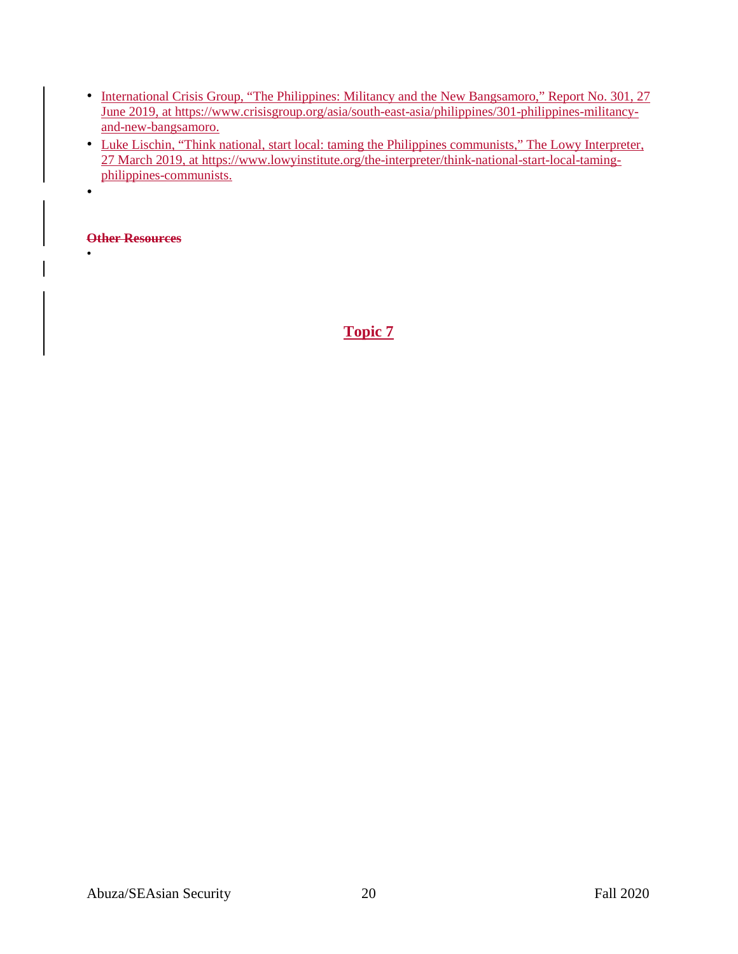- International Crisis Group, "The Philippines: Militancy and the New Bangsamoro," Report No. 301, 27 June 2019, at [https://www.crisisgroup.org/asia/south-east-asia/philippines/301-philippines-militancy](https://www.crisisgroup.org/asia/south-east-asia/philippines/301-philippines-militancy-and-new-bangsamoro)[and-new-bangsamoro.](https://www.crisisgroup.org/asia/south-east-asia/philippines/301-philippines-militancy-and-new-bangsamoro)
- Luke Lischin, "Think national, start local: taming the Philippines communists," The Lowy Interpreter, 27 March 2019, at [https://www.lowyinstitute.org/the-interpreter/think-national-start-local-taming](https://www.lowyinstitute.org/the-interpreter/think-national-start-local-taming-philippines-communists)[philippines-communists.](https://www.lowyinstitute.org/the-interpreter/think-national-start-local-taming-philippines-communists)

**Other Resources**

•

•

**Topic 7**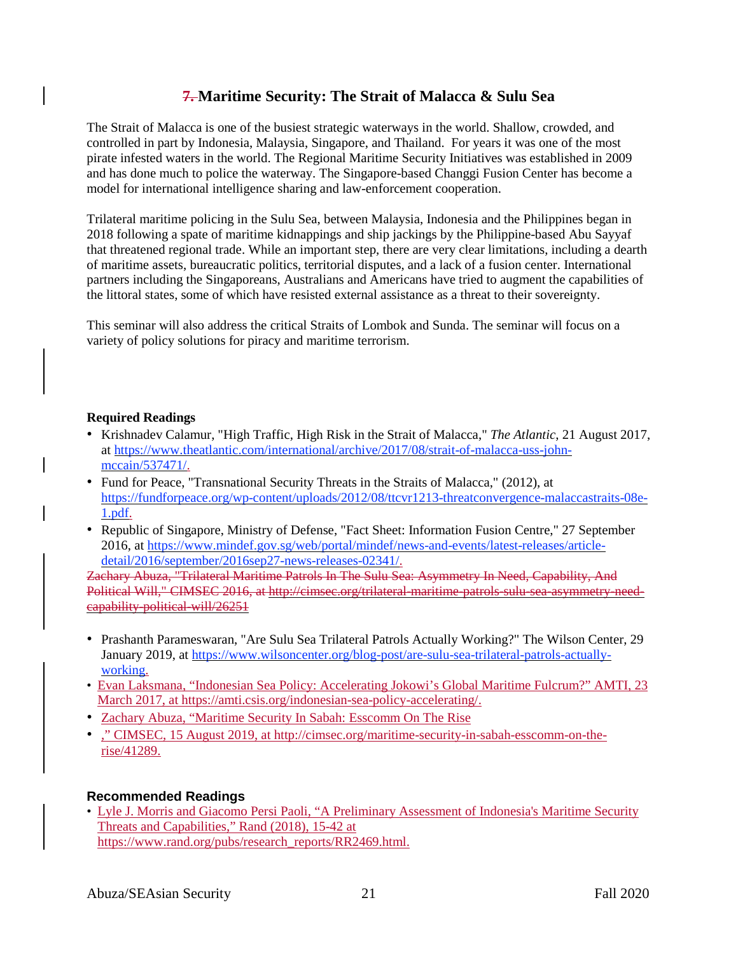# **7. Maritime Security: The Strait of Malacca & Sulu Sea**

The Strait of Malacca is one of the busiest strategic waterways in the world. Shallow, crowded, and controlled in part by Indonesia, Malaysia, Singapore, and Thailand. For years it was one of the most pirate infested waters in the world. The Regional Maritime Security Initiatives was established in 2009 and has done much to police the waterway. The Singapore-based Changgi Fusion Center has become a model for international intelligence sharing and law-enforcement cooperation.

Trilateral maritime policing in the Sulu Sea, between Malaysia, Indonesia and the Philippines began in 2018 following a spate of maritime kidnappings and ship jackings by the Philippine-based Abu Sayyaf that threatened regional trade. While an important step, there are very clear limitations, including a dearth of maritime assets, bureaucratic politics, territorial disputes, and a lack of a fusion center. International partners including the Singaporeans, Australians and Americans have tried to augment the capabilities of the littoral states, some of which have resisted external assistance as a threat to their sovereignty.

This seminar will also address the critical Straits of Lombok and Sunda. The seminar will focus on a variety of policy solutions for piracy and maritime terrorism.

### **Required Readings**

- Krishnadev Calamur, "High Traffic, High Risk in the Strait of Malacca," *The Atlantic*, 21 August 2017, at [https://www.theatlantic.com/international/archive/2017/08/strait-of-malacca-uss-john](https://www.theatlantic.com/international/archive/2017/08/strait-of-malacca-uss-john-mccain/537471/)[mccain/537471/.](https://www.theatlantic.com/international/archive/2017/08/strait-of-malacca-uss-john-mccain/537471/)
- Fund for Peace, "Transnational Security Threats in the Straits of Malacca," (2012), at [https://fundforpeace.org/wp-content/uploads/2012/08/ttcvr1213-threatconvergence-malaccastraits-08e-](https://fundforpeace.org/wp-content/uploads/2012/08/ttcvr1213-threatconvergence-malaccastraits-08e-1.pdf)[1.pdf.](https://fundforpeace.org/wp-content/uploads/2012/08/ttcvr1213-threatconvergence-malaccastraits-08e-1.pdf)
- Republic of Singapore, Ministry of Defense, "Fact Sheet: Information Fusion Centre," 27 September 2016, at [https://www.mindef.gov.sg/web/portal/mindef/news-and-events/latest-releases/article](https://www.mindef.gov.sg/web/portal/mindef/news-and-events/latest-releases/article-detail/2016/september/2016sep27-news-releases-02341/)[detail/2016/september/2016sep27-news-releases-02341/.](https://www.mindef.gov.sg/web/portal/mindef/news-and-events/latest-releases/article-detail/2016/september/2016sep27-news-releases-02341/)

Zachary Abuza, "Trilateral Maritime Patrols In The Sulu Sea: Asymmetry In Need, Capability, And Political Will," CIMSEC 2016, at http://cimsec.org/trilateral-maritime-patrols-sulu-sea-asymmetry-needcapability-political-will/26251

- Prashanth Parameswaran, "Are Sulu Sea Trilateral Patrols Actually Working?" The Wilson Center, 29 January 2019, at [https://www.wilsoncenter.org/blog-post/are-sulu-sea-trilateral-patrols-actually](https://www.wilsoncenter.org/blog-post/are-sulu-sea-trilateral-patrols-actually-working)[working.](https://www.wilsoncenter.org/blog-post/are-sulu-sea-trilateral-patrols-actually-working)
- Evan Laksmana, "Indonesian Sea Policy: Accelerating Jokowi's Global Maritime Fulcrum?" AMTI, 23 March 2017, at [https://amti.csis.org/indonesian-sea-policy-accelerating/.](https://amti.csis.org/indonesian-sea-policy-accelerating/)
- Zachary Abuza, "Maritime Security In Sabah: Esscomm On The Rise
- ." CIMSEC, 15 August 2019, at [http://cimsec.org/maritime-security-in-sabah-esscomm-on-the](http://cimsec.org/maritime-security-in-sabah-esscomm-on-the-rise/41289)[rise/41289.](http://cimsec.org/maritime-security-in-sabah-esscomm-on-the-rise/41289)

## **Recommended Readings**

• Lyle J. Morris and Giacomo Persi Paoli, "A Preliminary Assessment of Indonesia's Maritime Security Threats and Capabilities," Rand (2018), 15-42 at [https://www.rand.org/pubs/research\\_reports/RR2469.html.](https://www.rand.org/pubs/research_reports/RR2469.html)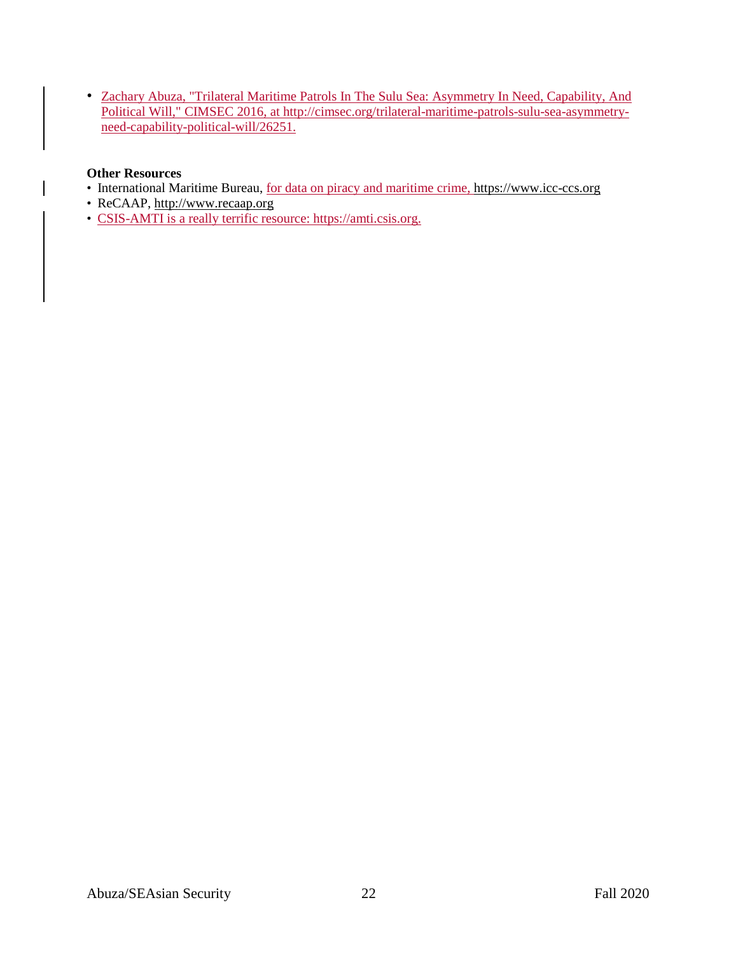• Zachary Abuza, "Trilateral Maritime Patrols In The Sulu Sea: Asymmetry In Need, Capability, And Political Will," CIMSEC 2016, at [http://cimsec.org/trilateral-maritime-patrols-sulu-sea-asymmetry](http://cimsec.org/trilateral-maritime-patrols-sulu-sea-asymmetry-need-capability-political-will/26251)[need-capability-political-will/26251.](http://cimsec.org/trilateral-maritime-patrols-sulu-sea-asymmetry-need-capability-political-will/26251)

## **Other Resources**

- International Maritime Bureau, for data on piracy and maritime crime, [https://www.icc-ccs.org](https://www.icc-ccs.org/)
- ReCAAP, [http://www.recaap.org](http://www.recaap.org/)
- CSIS-AMTI is a really terrific resource: https://amti.csis.org.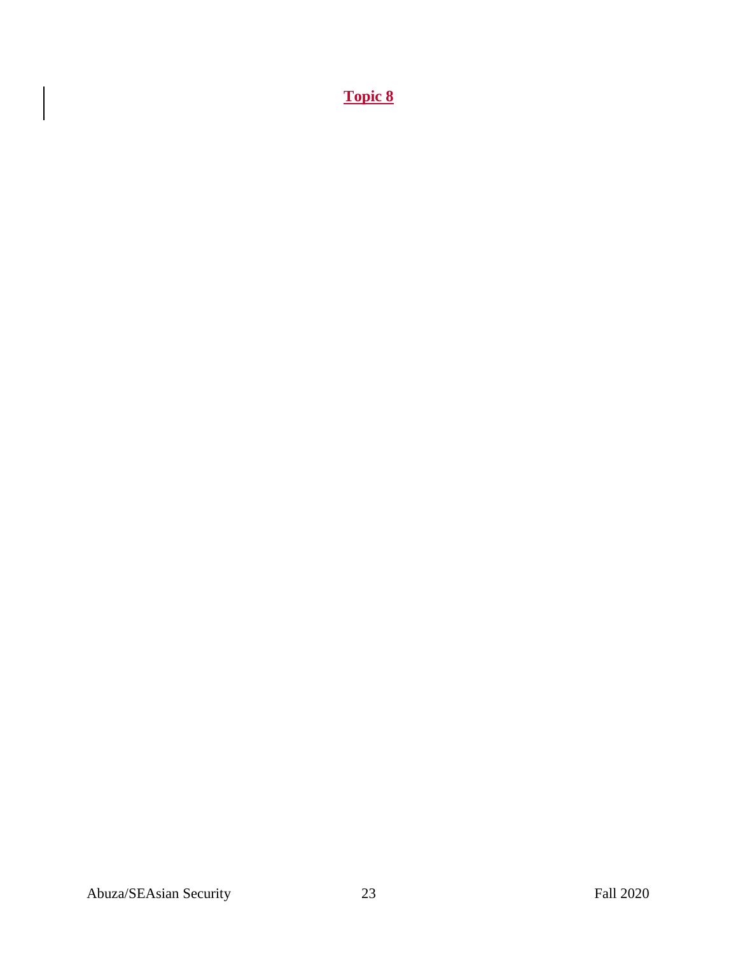**Topic 8**

 $\vert$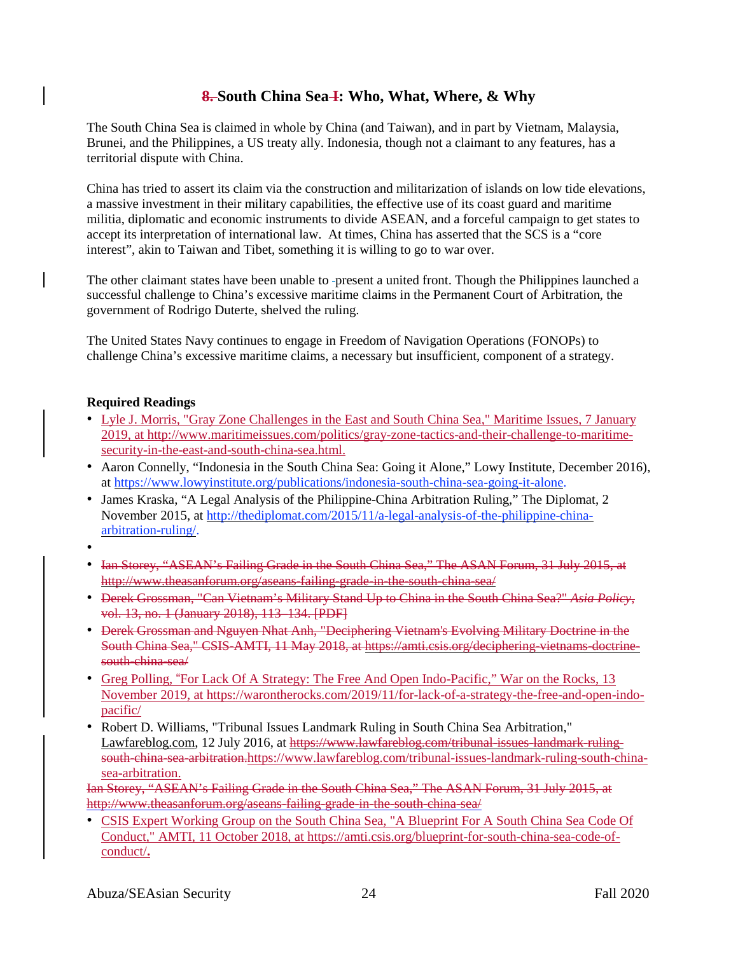# **8. South China Sea I: Who, What, Where, & Why**

The South China Sea is claimed in whole by China (and Taiwan), and in part by Vietnam, Malaysia, Brunei, and the Philippines, a US treaty ally. Indonesia, though not a claimant to any features, has a territorial dispute with China.

China has tried to assert its claim via the construction and militarization of islands on low tide elevations, a massive investment in their military capabilities, the effective use of its coast guard and maritime militia, diplomatic and economic instruments to divide ASEAN, and a forceful campaign to get states to accept its interpretation of international law. At times, China has asserted that the SCS is a "core interest", akin to Taiwan and Tibet, something it is willing to go to war over.

The other claimant states have been unable to -present a united front. Though the Philippines launched a successful challenge to China's excessive maritime claims in the Permanent Court of Arbitration, the government of Rodrigo Duterte, shelved the ruling.

The United States Navy continues to engage in Freedom of Navigation Operations (FONOPs) to challenge China's excessive maritime claims, a necessary but insufficient, component of a strategy.

## **Required Readings**

- Lyle J. Morris, "Gray Zone Challenges in the East and South China Sea," Maritime Issues, 7 January 2019, at [http://www.maritimeissues.com/politics/gray-zone-tactics-and-their-challenge-to-maritime](http://www.maritimeissues.com/politics/gray-zone-tactics-and-their-challenge-to-maritime-security-in-the-east-and-south-china-sea.html)[security-in-the-east-and-south-china-sea.html.](http://www.maritimeissues.com/politics/gray-zone-tactics-and-their-challenge-to-maritime-security-in-the-east-and-south-china-sea.html)
- Aaron Connelly, "Indonesia in the South China Sea: Going it Alone," Lowy Institute, December 2016), at [https://www.lowyinstitute.org/publications/indonesia-south-china-sea-going-it-alone.](https://www.lowyinstitute.org/publications/indonesia-south-china-sea-going-it-alone)
- James Kraska, "A Legal Analysis of the Philippine-China Arbitration Ruling," The Diplomat, 2 November 2015, at [http://thediplomat.com/2015/11/a-legal-analysis-of-the-philippine-china](http://thediplomat.com/2015/11/a-legal-analysis-of-the-philippine-china-arbitration-ruling/)[arbitration-ruling/.](http://thediplomat.com/2015/11/a-legal-analysis-of-the-philippine-china-arbitration-ruling/)
- •
- Ian Storey, "ASEAN's Failing Grade in the South China Sea," The ASAN Forum, 31 July 2015, at http://www.theasanforum.org/aseans-failing-grade-in-the-south-china-sea/
- Derek Grossman, "Can Vietnam's Military Stand Up to China in the South China Sea?" *Asia Policy*, vol. 13, no. 1 (January 2018), 113–134. [PDF]
- Derek Grossman and Nguyen Nhat Anh, "Deciphering Vietnam's Evolving Military Doctrine in the South China Sea," CSIS-AMTI, 11 May 2018, at https://amti.csis.org/deciphering-vietnams-doctrinesouth-china-sea/
- Greg Polling, "For Lack Of A Strategy: The Free And Open Indo-Pacific," War on the Rocks, 13 November 2019, at [https://warontherocks.com/2019/11/for-lack-of-a-strategy-the-free-and-open-indo](https://warontherocks.com/2019/11/for-lack-of-a-strategy-the-free-and-open-indo-pacific/)[pacific/](https://warontherocks.com/2019/11/for-lack-of-a-strategy-the-free-and-open-indo-pacific/)
- Robert D. Williams, "Tribunal Issues Landmark Ruling in South China Sea Arbitration," [Lawfareblog.com,](http://lawfareblog.com/) 12 July 2016, at https://www.lawfareblog.com/tribunal-issues-landmark-ruling-south-china-sea-arbitration[.https://www.lawfareblog.com/tribunal-issues-landmark-ruling-south-china](https://www.lawfareblog.com/tribunal-issues-landmark-ruling-south-china-sea-arbitration)[sea-arbitration.](https://www.lawfareblog.com/tribunal-issues-landmark-ruling-south-china-sea-arbitration)

Ian Storey, "ASEAN's Failing Grade in the South China Sea," The ASAN Forum, 31 July 2015, at http://www.theasanforum.org/aseans-failing-grade-in-the-south-china-sea/

• CSIS Expert Working Group on the South China Sea, "A Blueprint For A South China Sea Code Of Conduct," AMTI, 11 October 2018, at [https://amti.csis.org/blueprint-for-south-china-sea-code-of](https://amti.csis.org/blueprint-for-south-china-sea-code-of-conduct/)[conduct/](https://amti.csis.org/blueprint-for-south-china-sea-code-of-conduct/)**.**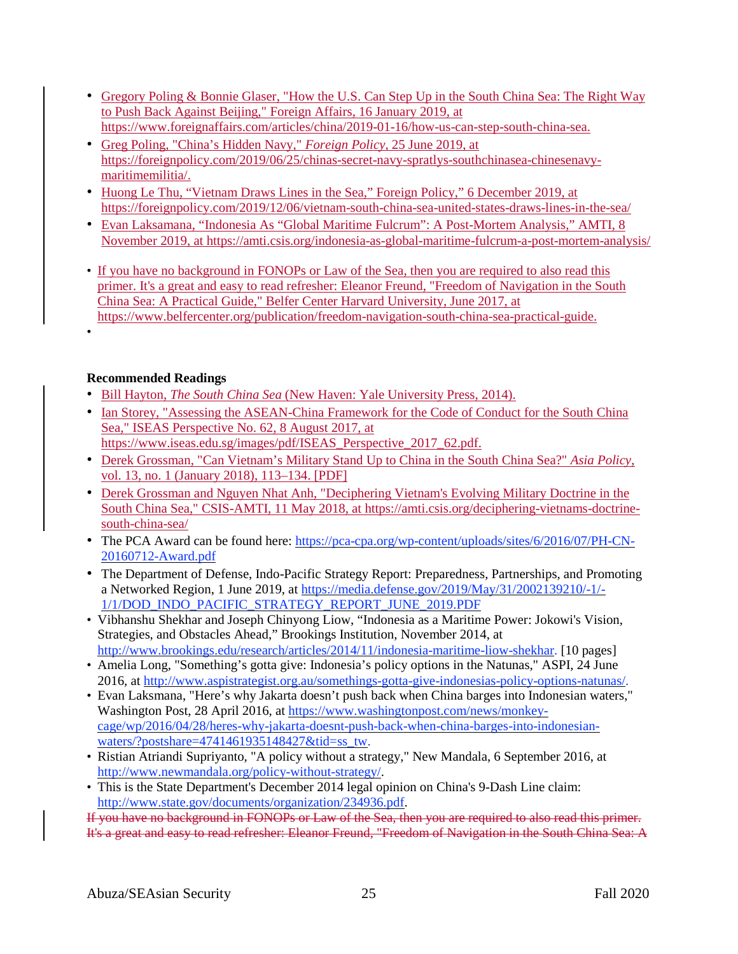- Gregory Poling & Bonnie Glaser, "How the U.S. Can Step Up in the South China Sea: The Right Way to Push Back Against Beijing," Foreign Affairs, 16 January 2019, at [https://www.foreignaffairs.com/articles/china/2019-01-16/how-us-can-step-south-china-sea.](https://www.foreignaffairs.com/articles/china/2019-01-16/how-us-can-step-south-china-sea)
- Greg Poling, "China's Hidden Navy," *Foreign Policy*, 25 June 2019, at [https://foreignpolicy.com/2019/06/25/chinas-secret-navy-spratlys-southchinasea-chinesenavy](https://foreignpolicy.com/2019/06/25/chinas-secret-navy-spratlys-southchinasea-chinesenavy-maritimemilitia/)[maritimemilitia/.](https://foreignpolicy.com/2019/06/25/chinas-secret-navy-spratlys-southchinasea-chinesenavy-maritimemilitia/)
- Huong Le Thu, "Vietnam Draws Lines in the Sea," Foreign Policy," 6 December 2019, at <https://foreignpolicy.com/2019/12/06/vietnam-south-china-sea-united-states-draws-lines-in-the-sea/>
- Evan Laksamana, "Indonesia As "Global Maritime Fulcrum": A Post-Mortem Analysis," AMTI, 8 November 2019, at <https://amti.csis.org/indonesia-as-global-maritime-fulcrum-a-post-mortem-analysis/>
- If you have no background in FONOPs or Law of the Sea, then you are required to also read this primer. It's a great and easy to read refresher: Eleanor Freund, "Freedom of Navigation in the South China Sea: A Practical Guide," Belfer Center Harvard University, June 2017, at [https://www.belfercenter.org/p](https://www.belfercenter.org/)ublication/freedom-navigation-south-china-sea-practical-guide.
- **Recommended Readings**

•

- Bill Hayton, *The South China Sea* (New Haven: Yale University Press, 2014).
- Ian Storey, "Assessing the ASEAN-China Framework for the Code of Conduct for the South China Sea," ISEAS Perspective No. 62, 8 August 2017, at
- [https://www.iseas.edu.sg/images/pdf/ISEAS\\_Perspective\\_2017\\_62.pdf.](https://www.iseas.edu.sg/images/pdf/ISEAS_Perspective_2017_62.pdf)
- Derek Grossman, "Can Vietnam's Military Stand Up to China in the South China Sea?" *Asia Policy*, vol. 13, no. 1 (January 2018), 113–134. [PDF]
- Derek Grossman and Nguyen Nhat Anh, "Deciphering Vietnam's Evolving Military Doctrine in the South China Sea," CSIS-AMTI, 11 May 2018, at [https://amti.csis.org/deciphering-vietnams-doctrine](https://amti.csis.org/deciphering-vietnams-doctrine-)south-china-sea/
- The PCA Award can be found here: [https://pca-cpa.org/wp-content/uploads/sites/6/2016/07/PH-CN-](https://pca-cpa.org/wp-content/uploads/sites/6/2016/07/PH-CN-20160712-Award.pdf)[20160712-Award.pdf](https://pca-cpa.org/wp-content/uploads/sites/6/2016/07/PH-CN-20160712-Award.pdf)
- The Department of Defense, Indo-Pacific Strategy Report: Preparedness, Partnerships, and Promoting a Networked Region, 1 June 2019, at [https://media.defense.gov/2019/May/31/2002139210/-1/-](https://media.defense.gov/2019/May/31/2002139210/-1/-1/1/DOD_INDO_PACIFIC_STRATEGY_REPORT_JUNE_2019.PDF) [1/1/DOD\\_INDO\\_PACIFIC\\_STRATEGY\\_REPORT\\_JUNE\\_2019.PDF](https://media.defense.gov/2019/May/31/2002139210/-1/-1/1/DOD_INDO_PACIFIC_STRATEGY_REPORT_JUNE_2019.PDF)
- Vibhanshu Shekhar and Joseph Chinyong Liow, "Indonesia as a Maritime Power: Jokowi's Vision, Strategies, and Obstacles Ahead," Brookings Institution, November 2014, at [http://www.brookings.edu/research/articles/2014/11/indonesia-maritime-liow-shekhar.](http://www.brookings.edu/research/articles/2014/11/indonesia-maritime-liow-shekhar) [10 pages]
- Amelia Long, "Something's gotta give: Indonesia's policy options in the Natunas," ASPI, 24 June 2016, at [http://www.aspistrategist.org.au/somethings-gotta-give-indonesias-policy-options-natunas/.](http://www.aspistrategist.org.au/somethings-gotta-give-indonesias-policy-options-natunas/)
- Evan Laksmana, "Here's why Jakarta doesn't push back when China barges into Indonesian waters," Washington Post, 28 April 2016, at [https://www.washingtonpost.com/news/monkey](https://www.washingtonpost.com/news/monkey-cage/wp/2016/04/28/heres-why-jakarta-doesnt-push-back-when-china-barges-into-indonesian-waters/?postshare=4741461935148427&tid=ss_tw)[cage/wp/2016/04/28/heres-why-jakarta-doesnt-push-back-when-china-barges-into-indonesian](https://www.washingtonpost.com/news/monkey-cage/wp/2016/04/28/heres-why-jakarta-doesnt-push-back-when-china-barges-into-indonesian-waters/?postshare=4741461935148427&tid=ss_tw)[waters/?postshare=4741461935148427&tid=ss\\_tw.](https://www.washingtonpost.com/news/monkey-cage/wp/2016/04/28/heres-why-jakarta-doesnt-push-back-when-china-barges-into-indonesian-waters/?postshare=4741461935148427&tid=ss_tw)
- Ristian Atriandi Supriyanto, "A policy without a strategy," New Mandala, 6 September 2016, at [http://www.newmandala.org/policy-without-strategy/.](http://www.newmandala.org/policy-without-strategy/)
- This is the State Department's December 2014 legal opinion on China's 9-Dash Line claim: [http://www.state.gov/documents/organization/234936.pdf.](http://www.state.gov/documents/organization/234936.pdf)

If you have no background in FONOPs or Law of the Sea, then you are required to also read this primer. It's a great and easy to read refresher: Eleanor Freund, "Freedom of Navigation in the South China Sea: A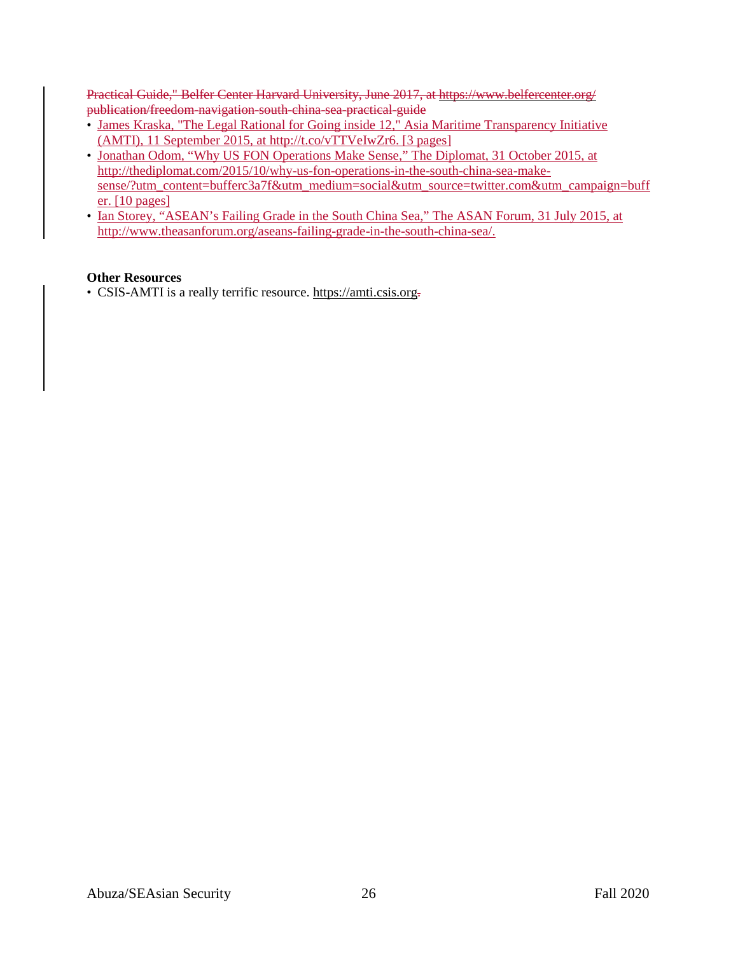Practical Guide," Belfer Center Harvard University, June 2017, at https://www.belfercenter.org/ publication/freedom-navigation-south-china-sea-practical-guide

- James Kraska, "The Legal Rational for Going inside 12," Asia Maritime Transparency Initiative (AMTI), 11 September 2015, at http://t.co/vTTVeIwZr6. [3 pages]
- Jonathan Odom, "Why US FON Operations Make Sense," The Diplomat, 31 October 2015, at [http://thediplomat.com/2015/10/why-us-fon-operations-in-the-south-china-sea-make](http://thediplomat.com/2015/10/why-us-fon-operations-in-the-south-china-sea-make-sense/?)[sense/?u](http://thediplomat.com/2015/10/why-us-fon-operations-in-the-south-china-sea-make-sense/?)tm\_content=bufferc3a7f&utm\_medium=social&utm\_source[=twitter.com&](http://twitter.com/)utm\_campaign=buff er. [10 pages]
- Ian Storey, "ASEAN's Failing Grade in the South China Sea," The ASAN Forum, 31 July 2015, at [http://www.theasanforum.org/aseans-failing-grade-in-the-south-china-sea/.](http://www.theasanforum.org/aseans-failing-grade-in-the-south-china-sea/)

## **Other Resources**

• CSIS-AMTI is a really terrific resource. https://amti.csis.org-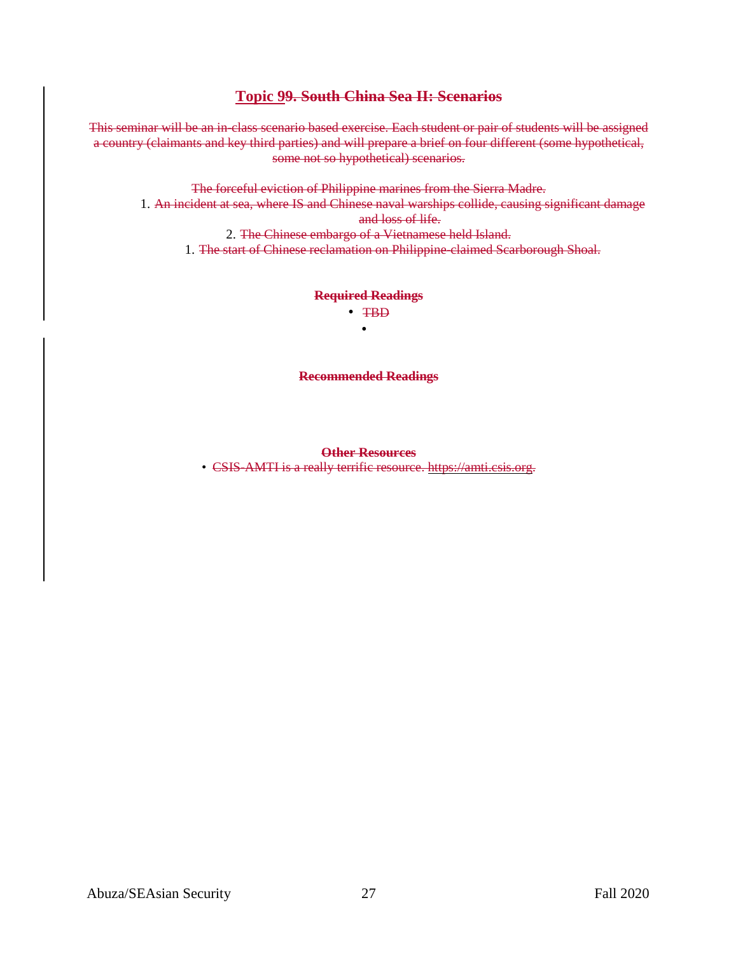## **Topic 99. South China Sea II: Scenarios**

This seminar will be an in-class scenario based exercise. Each student or pair of students will be assigned a country (claimants and key third parties) and will prepare a brief on four different (some hypothetical, some not so hypothetical) scenarios.

The forceful eviction of Philippine marines from the Sierra Madre. 1. An incident at sea, where IS and Chinese naval warships collide, causing significant damage and loss of life. 2. The Chinese embargo of a Vietnamese held Island.

1. The start of Chinese reclamation on Philippine-claimed Scarborough Shoal.

#### **Required Readings** • TBD

•

**Recommended Readings**

#### **Other Resources**

• CSIS-AMTI is a really terrific resource. https://amti.csis.org.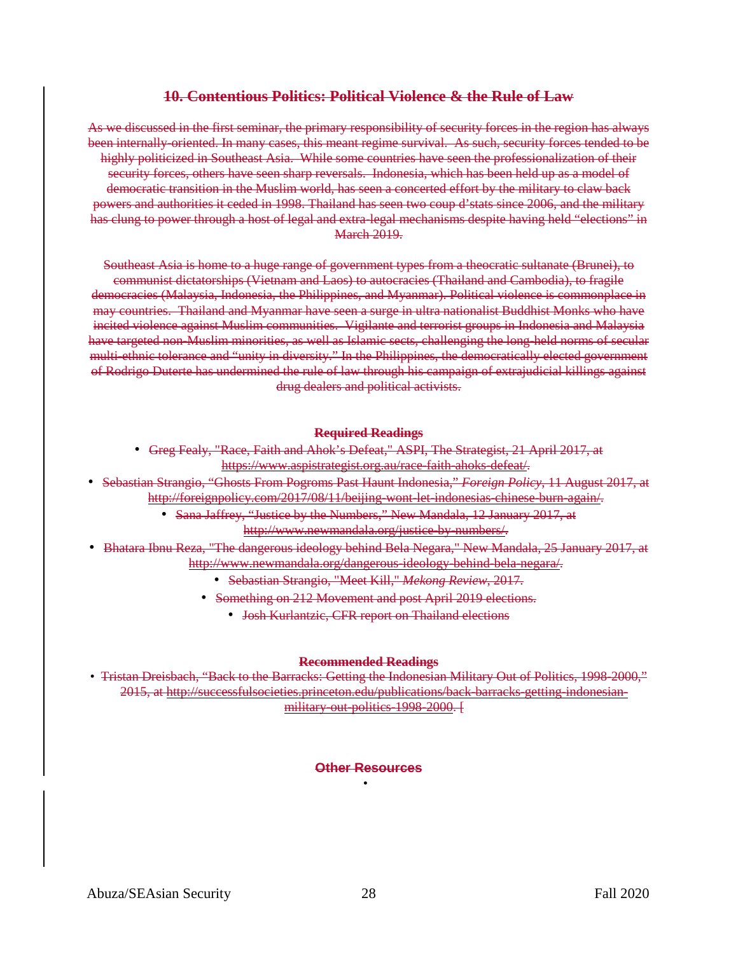## **10. Contentious Politics: Political Violence & the Rule of Law**

As we discussed in the first seminar, the primary responsibility of security forces in the region has always been internally-oriented. In many cases, this meant regime survival. As such, security forces tended to be highly politicized in Southeast Asia. While some countries have seen the professionalization of their security forces, others have seen sharp reversals. Indonesia, which has been held up as a model of democratic transition in the Muslim world, has seen a concerted effort by the military to claw back powers and authorities it ceded in 1998. Thailand has seen two coup d'stats since 2006, and the military has clung to power through a host of legal and extra-legal mechanisms despite having held "elections" in **March 2019.** 

Southeast Asia is home to a huge range of government types from a theocratic sultanate (Brunei), to communist dictatorships (Vietnam and Laos) to autocracies (Thailand and Cambodia), to fragile democracies (Malaysia, Indonesia, the Philippines, and Myanmar). Political violence is commonplace in may countries. Thailand and Myanmar have seen a surge in ultra nationalist Buddhist Monks who have incited violence against Muslim communities. Vigilante and terrorist groups in Indonesia and Malaysia have targeted non-Muslim minorities, as well as Islamic sects, challenging the long-held norms of secular multi-ethnic tolerance and "unity in diversity." In the Philippines, the democratically elected government of Rodrigo Duterte has undermined the rule of law through his campaign of extrajudicial killings against drug dealers and political activists.

#### **Required Readings**

- Greg Fealy, "Race, Faith and Ahok's Defeat," ASPI, The Strategist, 21 April 2017, at https://www.aspistrategist.org.au/race-faith-ahoks-defeat/.
- Sebastian Strangio, "Ghosts From Pogroms Past Haunt Indonesia," *Foreign Policy*, 11 August 2017, at http://foreignpolicy.com/2017/08/11/beijing-wont-let-indonesias-chinese-burn-again/.
	- Sana Jaffrey, "Justice by the Numbers," New Mandala, 12 January 2017, at http://www.newmandala.org/justice-by-numbers/.
- Bhatara Ibnu Reza, "The dangerous ideology behind Bela Negara," New Mandala, 25 January 2017, at http://www.newmandala.org/dangerous-ideology-behind-bela-negara/.
	- Sebastian Strangio, "Meet Kill," *Mekong Review*, 2017.
	- Something on 212 Movement and post April 2019 elections.
		- Josh Kurlantzic, CFR report on Thailand elections

#### **Recommended Readings**

• Tristan Dreisbach, "Back to the Barracks: Getting the Indonesian Military Out of Politics, 1998-2000," 2015, at http://successfulsocieties.princeton.edu/publications/back-barracks-getting-indonesianmilitary-out-politics-1998-2000. [

### **Other Resources** •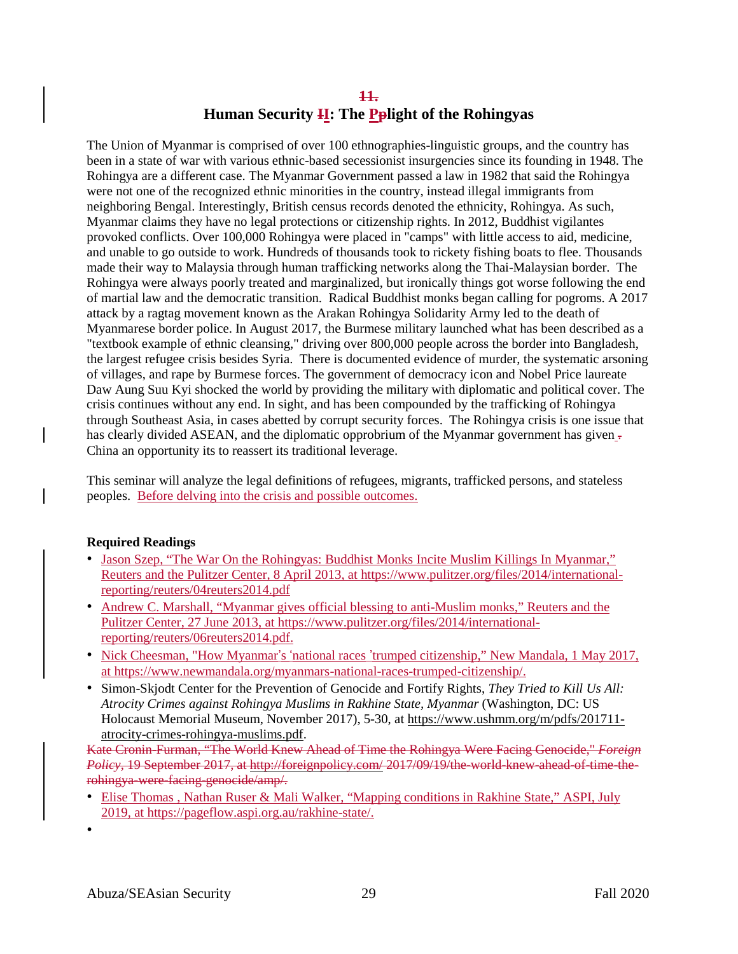# **11. Human Security II: The Pplight of the Rohingyas**

The Union of Myanmar is comprised of over 100 ethnographies-linguistic groups, and the country has been in a state of war with various ethnic-based secessionist insurgencies since its founding in 1948. The Rohingya are a different case. The Myanmar Government passed a law in 1982 that said the Rohingya were not one of the recognized ethnic minorities in the country, instead illegal immigrants from neighboring Bengal. Interestingly, British census records denoted the ethnicity, Rohingya. As such, Myanmar claims they have no legal protections or citizenship rights. In 2012, Buddhist vigilantes provoked conflicts. Over 100,000 Rohingya were placed in "camps" with little access to aid, medicine, and unable to go outside to work. Hundreds of thousands took to rickety fishing boats to flee. Thousands made their way to Malaysia through human trafficking networks along the Thai-Malaysian border. The Rohingya were always poorly treated and marginalized, but ironically things got worse following the end of martial law and the democratic transition. Radical Buddhist monks began calling for pogroms. A 2017 attack by a ragtag movement known as the Arakan Rohingya Solidarity Army led to the death of Myanmarese border police. In August 2017, the Burmese military launched what has been described as a "textbook example of ethnic cleansing," driving over 800,000 people across the border into Bangladesh, the largest refugee crisis besides Syria. There is documented evidence of murder, the systematic arsoning of villages, and rape by Burmese forces. The government of democracy icon and Nobel Price laureate Daw Aung Suu Kyi shocked the world by providing the military with diplomatic and political cover. The crisis continues without any end. In sight, and has been compounded by the trafficking of Rohingya through Southeast Asia, in cases abetted by corrupt security forces. The Rohingya crisis is one issue that has clearly divided ASEAN, and the diplomatic opprobrium of the Myanmar government has given  $\overline{\cdot}$ China an opportunity its to reassert its traditional leverage.

This seminar will analyze the legal definitions of refugees, migrants, trafficked persons, and stateless peoples. Before delving into the crisis and possible outcomes.

## **Required Readings**

- Jason Szep, "The War On the Rohingyas: Buddhist Monks Incite Muslim Killings In Myanmar," Reuters and the Pulitzer Center, 8 April 2013, at [https://www.pulitzer.org/files/2014/international](https://www.pulitzer.org/files/2014/international-reporting/reuters/04reuters2014.pdf)[reporting/reuters/04reuters2014.pdf](https://www.pulitzer.org/files/2014/international-reporting/reuters/04reuters2014.pdf)
- Andrew C. Marshall, "Myanmar gives official blessing to anti-Muslim monks," Reuters and the Pulitzer Center, 27 June 2013, at [https://www.pulitzer.org/files/2014/international](https://www.pulitzer.org/files/2014/international-reporting/reuters/06reuters2014.pdf)[reporting/reuters/06reuters2014.pdf.](https://www.pulitzer.org/files/2014/international-reporting/reuters/06reuters2014.pdf)
- Nick Cheesman, "How Myanmar's 'national races 'trumped citizenship," New Mandala, 1 May 2017, at [https://www.newmandala.org/myanmars-national-races-trumped-citizenship/.](https://www.newmandala.org/myanmars-national-races-trumped-citizenship/)
- Simon-Skjodt Center for the Prevention of Genocide and Fortify Rights, *They Tried to Kill Us All: Atrocity Crimes against Rohingya Muslims in Rakhine State, Myanmar* (Washington, DC: US Holocaust Memorial Museum, November 2017), 5-30, at [https://www.ushmm.org/m/pdfs/201711](https://www.ushmm.org/m/pdfs/201711-atrocity-crimes-rohingya-muslims.pdf) [atrocity-crimes-rohingya-muslims.pdf.](https://www.ushmm.org/m/pdfs/201711-atrocity-crimes-rohingya-muslims.pdf)

Kate Cronin-Furman, "The World Knew Ahead of Time the Rohingya Were Facing Genocide," *Foreign Policy*, 19 September 2017, at http://foreignpolicy.com/ 2017/09/19/the-world-knew-ahead-of-time-therohingya-were-facing-genocide/amp/.

- Elise Thomas , Nathan Ruser & Mali Walker, "Mapping conditions in Rakhine State," ASPI, July 2019, at [https://pageflow.aspi.org.au/rakhine-state/.](https://pageflow.aspi.org.au/rakhine-state/)
- •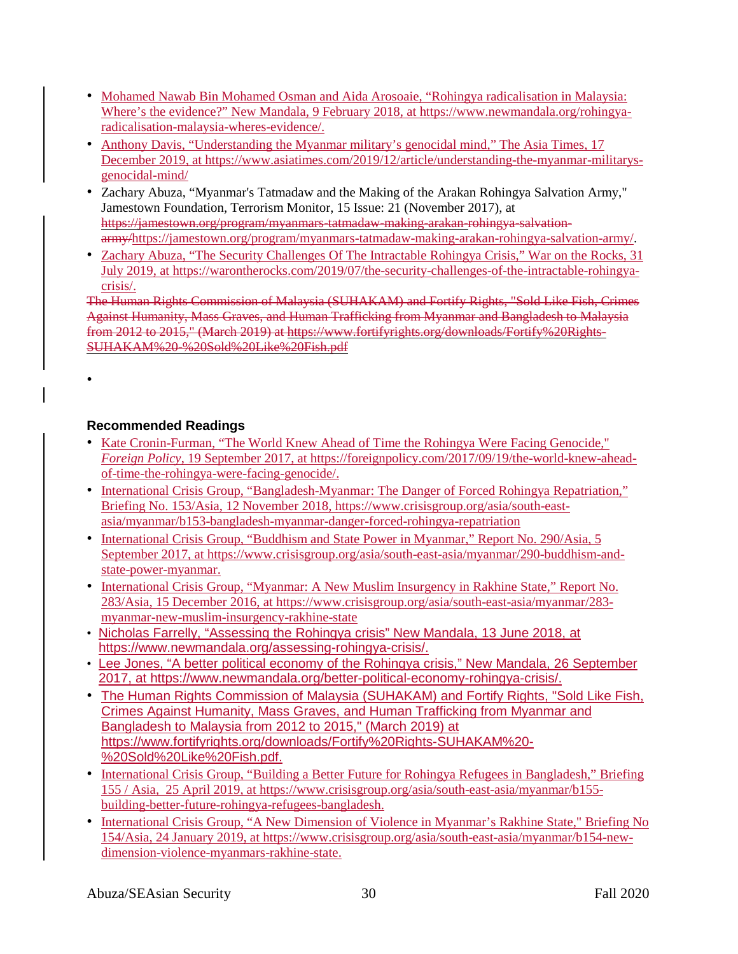- Mohamed Nawab Bin Mohamed Osman and Aida Arosoaie, "Rohingya radicalisation in Malaysia: Where's the evidence?" New Mandala, 9 February 2018, at [https://www.newmandala.org/rohingya](https://www.newmandala.org/rohingya-radicalisation-malaysia-wheres-evidence/)[radicalisation-malaysia-wheres-evidence/.](https://www.newmandala.org/rohingya-radicalisation-malaysia-wheres-evidence/)
- Anthony Davis, "Understanding the Myanmar military's genocidal mind," The Asia Times, 17 December 2019, at [https://www.asiatimes.com/2019/12/article/understanding-the-myanmar-militarys](https://www.asiatimes.com/2019/12/article/understanding-the-myanmar-militarys-genocidal-mind/)[genocidal-mind/](https://www.asiatimes.com/2019/12/article/understanding-the-myanmar-militarys-genocidal-mind/)
- Zachary Abuza, "Myanmar's Tatmadaw and the Making of the Arakan Rohingya Salvation Army," Jamestown Foundation, Terrorism Monitor, 15 Issue: 21 (November 2017), at https://jamestown.org/program/myanmars-tatmadaw-making-arakan-rohingya-salvationarmy[/https://jamestown.org/program/myanmars-tatmadaw-making-arakan-rohingya-salvation-army/.](https://jamestown.org/program/myanmars-tatmadaw-making-arakan-rohingya-salvation-army/)
- Zachary Abuza, "The Security Challenges Of The Intractable Rohingya Crisis," War on the Rocks, 31 July 2019, at [https://warontherocks.com/2019/07/the-security-challenges-of-the-intractable-rohingya](https://warontherocks.com/2019/07/the-security-challenges-of-the-intractable-rohingya-crisis/)[crisis/.](https://warontherocks.com/2019/07/the-security-challenges-of-the-intractable-rohingya-crisis/)

The Human Rights Commission of Malaysia (SUHAKAM) and Fortify Rights, "Sold Like Fish, Crimes Against Humanity, Mass Graves, and Human Trafficking from Myanmar and Bangladesh to Malaysia from 2012 to 2015," (March 2019) at https://www.fortifyrights.org/downloads/Fortify%20Rights-SUHAKAM%20-%20Sold%20Like%20Fish.pdf

## **Recommended Readings**

•

- Kate Cronin-Furman, "The World Knew Ahead of Time the Rohingya Were Facing Genocide," *Foreign Policy*, 19 September 2017, at [https://foreignpolicy.com/2017/09/19/the-world-knew-ahead](https://foreignpolicy.com/2017/09/19/the-world-knew-ahead-of-time-the-rohingya-were-facing-genocide/)[of-time-the-rohingya-were-facing-genocide/.](https://foreignpolicy.com/2017/09/19/the-world-knew-ahead-of-time-the-rohingya-were-facing-genocide/)
- International Crisis Group, "Bangladesh-Myanmar: The Danger of Forced Rohingya Repatriation," Briefing No. 153/Asia, 12 November 2018, [https://www.crisisgroup.org/asia/south-east](https://www.crisisgroup.org/asia/south-east-asia/myanmar/b153-bangladesh-myanmar-danger-forced-rohingya-repatriation)[asia/myanmar/b153-bangladesh-myanmar-danger-forced-rohingya-repatriation](https://www.crisisgroup.org/asia/south-east-asia/myanmar/b153-bangladesh-myanmar-danger-forced-rohingya-repatriation)
- International Crisis Group, "Buddhism and State Power in Myanmar," Report No. 290/Asia, 5 September 2017, at [https://www.crisisgroup.org/asia/south-east-asia/myanmar/290-buddhism-and](https://www.crisisgroup.org/asia/south-east-asia/myanmar/290-buddhism-and-state-power-myanmar)[state-power-myanmar.](https://www.crisisgroup.org/asia/south-east-asia/myanmar/290-buddhism-and-state-power-myanmar)
- International Crisis Group, "Myanmar: A New Muslim Insurgency in Rakhine State," Report No. 283/Asia, 15 December 2016, at [https://www.crisisgroup.org/asia/south-east-asia/myanmar/283](https://www.crisisgroup.org/asia/south-east-asia/myanmar/283-myanmar-new-muslim-insurgency-rakhine-state) [myanmar-new-muslim-insurgency-rakhine-state](https://www.crisisgroup.org/asia/south-east-asia/myanmar/283-myanmar-new-muslim-insurgency-rakhine-state)
- Nicholas Farrelly, "Assessing the Rohingya crisis" New Mandala, 13 June 2018, at [https://www.newmandala.org/assessing-rohingya-crisis/.](https://www.newmandala.org/assessing-rohingya-crisis/)
- Lee Jones, "A better political economy of the Rohingya crisis," New Mandala, 26 September 2017, at [https://www.newmandala.org/better-political-economy-rohingya-crisis/.](https://www.newmandala.org/better-political-economy-rohingya-crisis/)
- The Human Rights Commission of Malaysia (SUHAKAM) and Fortify Rights, "Sold Like Fish, Crimes Against Humanity, Mass Graves, and Human Trafficking from Myanmar and Bangladesh to Malaysia from 2012 to 2015," (March 2019) at [https://www.fortifyrights.org/downloads/Fortify%20Rights-SUHAKAM%20-](https://www.fortifyrights.org/downloads/Fortify%2520Rights-SUHAKAM%2520-%2520Sold%2520Like%2520Fish.pdf) [%20Sold%20Like%20Fish.pdf.](https://www.fortifyrights.org/downloads/Fortify%2520Rights-SUHAKAM%2520-%2520Sold%2520Like%2520Fish.pdf)
- International Crisis Group, "Building a Better Future for Rohingya Refugees in Bangladesh," Briefing 155 / Asia, 25 April 2019, at [https://www.crisisgroup.org/asia/south-east-asia/myanmar/b155](https://www.crisisgroup.org/asia/south-east-asia/myanmar/b155-building-better-future-rohingya-refugees-bangladesh) [building-better-future-rohingya-refugees-bangladesh.](https://www.crisisgroup.org/asia/south-east-asia/myanmar/b155-building-better-future-rohingya-refugees-bangladesh)
- International Crisis Group, "A New Dimension of Violence in Myanmar's Rakhine State," Briefing No 154/Asia, 24 January 2019, at [https://www.crisisgroup.org/asia/south-east-asia/myanmar/b154-new](https://www.crisisgroup.org/asia/south-east-asia/myanmar/b154-new-dimension-violence-myanmars-rakhine-state)[dimension-violence-myanmars-rakhine-state.](https://www.crisisgroup.org/asia/south-east-asia/myanmar/b154-new-dimension-violence-myanmars-rakhine-state)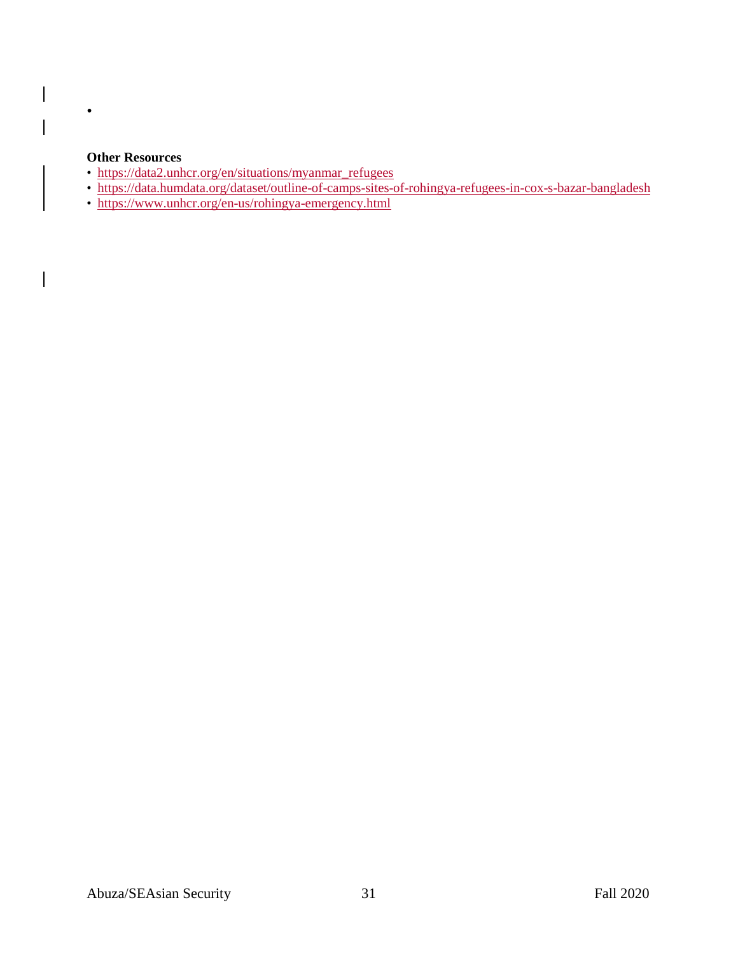#### **Other Resources**

•

 $\overline{\phantom{a}}$ 

 $\overline{\phantom{a}}$ 

 $\overline{\phantom{a}}$ 

- [https://data2.unhcr.org/en/situations/myanmar\\_refugees](https://data2.unhcr.org/en/situations/myanmar_refugees)
- <https://data.humdata.org/dataset/outline-of-camps-sites-of-rohingya-refugees-in-cox-s-bazar-bangladesh>
- <https://www.unhcr.org/en-us/rohingya-emergency.html>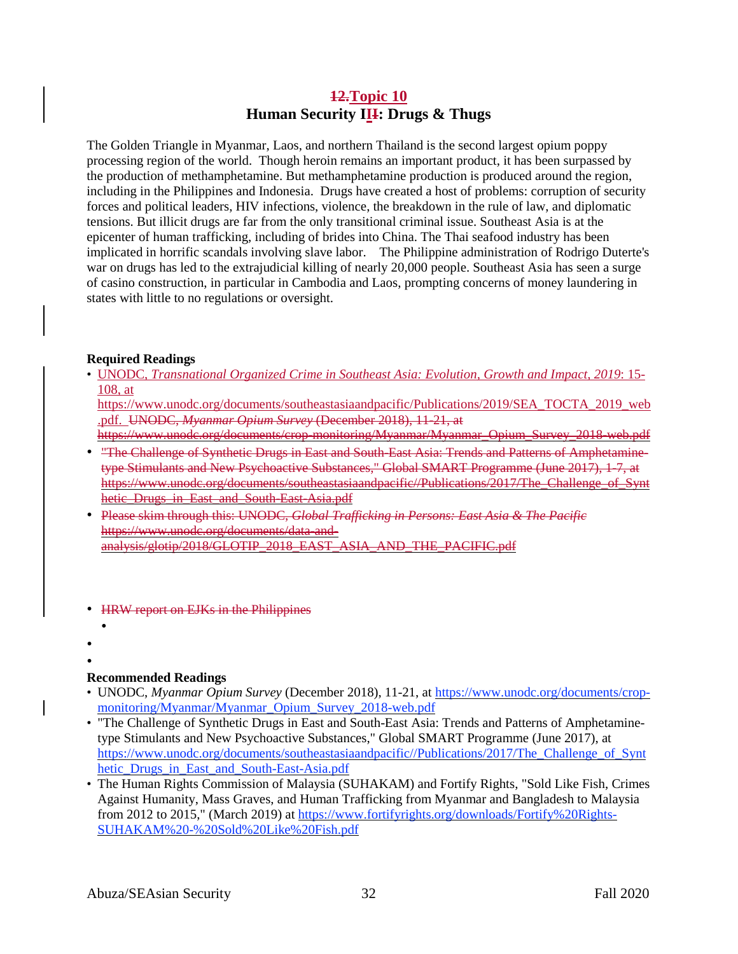## **12.Topic 10 Human Security III: Drugs & Thugs**

The Golden Triangle in Myanmar, Laos, and northern Thailand is the second largest opium poppy processing region of the world. Though heroin remains an important product, it has been surpassed by the production of methamphetamine. But methamphetamine production is produced around the region, including in the Philippines and Indonesia. Drugs have created a host of problems: corruption of security forces and political leaders, HIV infections, violence, the breakdown in the rule of law, and diplomatic tensions. But illicit drugs are far from the only transitional criminal issue. Southeast Asia is at the epicenter of human trafficking, including of brides into China. The Thai seafood industry has been implicated in horrific scandals involving slave labor. The Philippine administration of Rodrigo Duterte's war on drugs has led to the extrajudicial killing of nearly 20,000 people. Southeast Asia has seen a surge of casino construction, in particular in Cambodia and Laos, prompting concerns of money laundering in states with little to no regulations or oversight.

#### **Required Readings**

• UNODC, *Transnational Organized Crime in Southeast Asia: Evolution, Growth and Impact, 2019*: 15- 108, at

[https://www.unodc.org/documents/southeastasiaandpacific/Publications/2019/SEA\\_TOCTA\\_2019\\_web](https://www.unodc.org/documents/southeastasiaandpacific/Publications/2019/SEA_TOCTA_2019_web.pdf) [.pdf.](https://www.unodc.org/documents/southeastasiaandpacific/Publications/2019/SEA_TOCTA_2019_web.pdf) UNODC, *Myanmar Opium Survey* (December 2018), 11-21, at

https://www.unode.org/documents/crop-monitoring/Myanmar/Myanmar\_Opium\_Survey\_2018-web.pdf • "The Challenge of Synthetic Drugs in East and South-East Asia: Trends and Patterns of Amphetamine-

- type Stimulants and New Psychoactive Substances," Global SMART Programme (June 2017), 1-7, at https://www.unodc.org/documents/southeastasiaandpacific//Publications/2017/The\_Challenge\_of\_Synt hetic Drugs in East and South-East Asia.pdf
- Please skim through this: UNODC, *Global Trafficking in Persons: East Asia & The Pacific* https://www.unodc.org/documents/data-andanalysis/glotip/2018/GLOTIP\_2018\_EAST\_ASIA\_AND\_THE\_PACIFIC.pdf
- HRW report on EJKs in the Philippines
- 

•

• •

## **Recommended Readings**

- UNODC, *Myanmar Opium Survey* (December 2018), 11-21, at [https://www.unodc.org/documents/crop](https://www.unodc.org/documents/crop-monitoring/Myanmar/Myanmar_Opium_Survey_2018-web.pdf)[monitoring/Myanmar/Myanmar\\_Opium\\_Survey\\_2018-web.pdf](https://www.unodc.org/documents/crop-monitoring/Myanmar/Myanmar_Opium_Survey_2018-web.pdf)
- "The Challenge of Synthetic Drugs in East and South-East Asia: Trends and Patterns of Amphetaminetype Stimulants and New Psychoactive Substances," Global SMART Programme (June 2017), at [https://www.unodc.org/documents/southeastasiaandpacific//Publications/2017/The\\_Challenge\\_of\\_Synt](https://www.unodc.org/documents/southeastasiaandpacific/Publications/2017/The_Challenge_of_Synthetic_Drugs_in_East_and_South-East-Asia.pdf) [hetic\\_Drugs\\_in\\_East\\_and\\_South-East-Asia.pdf](https://www.unodc.org/documents/southeastasiaandpacific/Publications/2017/The_Challenge_of_Synthetic_Drugs_in_East_and_South-East-Asia.pdf)
- The Human Rights Commission of Malaysia (SUHAKAM) and Fortify Rights, "Sold Like Fish, Crimes Against Humanity, Mass Graves, and Human Trafficking from Myanmar and Bangladesh to Malaysia from 2012 to 2015," (March 2019) at [https://www.fortifyrights.org/downloads/Fortify%20Rights-](https://www.fortifyrights.org/downloads/Fortify%2520Rights-SUHAKAM%2520-%2520Sold%2520Like%2520Fish.pdf)[SUHAKAM%20-%20Sold%20Like%20Fish.pdf](https://www.fortifyrights.org/downloads/Fortify%2520Rights-SUHAKAM%2520-%2520Sold%2520Like%2520Fish.pdf)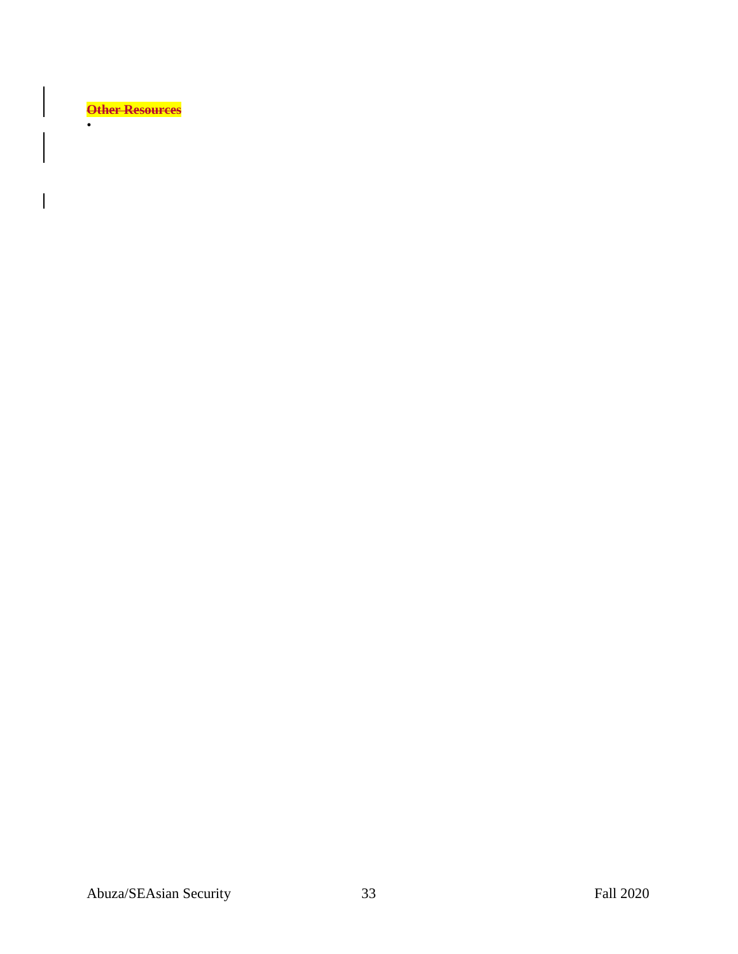**Other Resources**

•

 $\overline{\phantom{a}}$ 

H

 $\begin{array}{c} \rule{0pt}{2ex} \rule{0pt}{2ex} \rule{0pt}{2ex} \rule{0pt}{2ex} \rule{0pt}{2ex} \rule{0pt}{2ex} \rule{0pt}{2ex} \rule{0pt}{2ex} \rule{0pt}{2ex} \rule{0pt}{2ex} \rule{0pt}{2ex} \rule{0pt}{2ex} \rule{0pt}{2ex} \rule{0pt}{2ex} \rule{0pt}{2ex} \rule{0pt}{2ex} \rule{0pt}{2ex} \rule{0pt}{2ex} \rule{0pt}{2ex} \rule{0pt}{2ex} \rule{0pt}{2ex} \rule{0pt}{2ex} \rule{0pt}{2ex} \rule{0pt}{$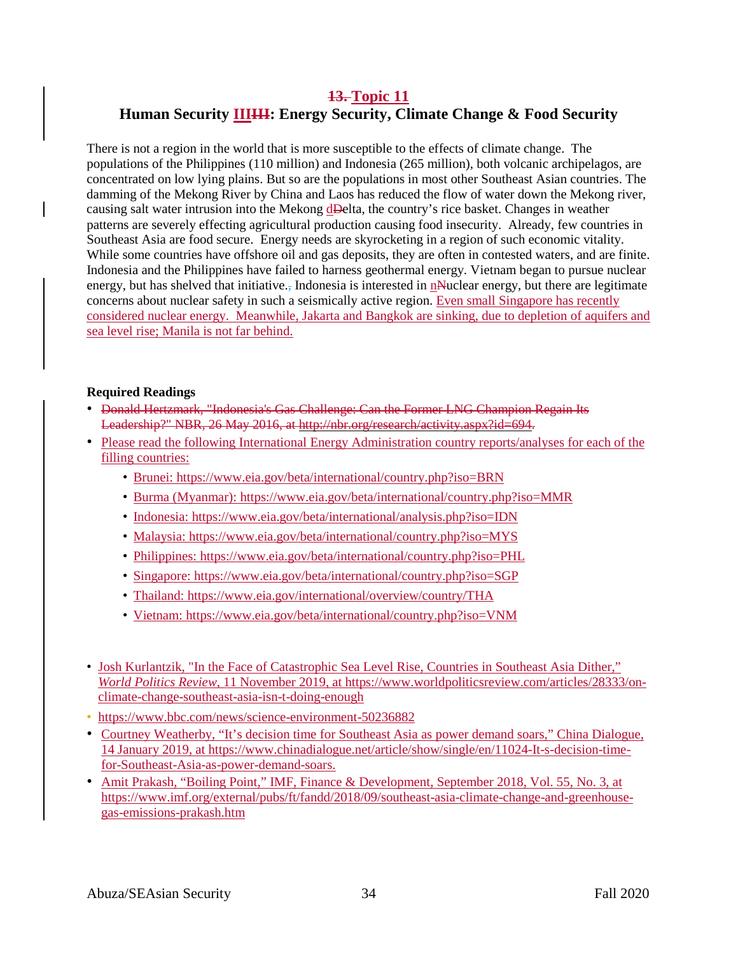# **13. Topic 11 Human Security IIIIII: Energy Security, Climate Change & Food Security**

There is not a region in the world that is more susceptible to the effects of climate change. The populations of the Philippines (110 million) and Indonesia (265 million), both volcanic archipelagos, are concentrated on low lying plains. But so are the populations in most other Southeast Asian countries. The damming of the Mekong River by China and Laos has reduced the flow of water down the Mekong river, causing salt water intrusion into the Mekong dDelta, the country's rice basket. Changes in weather patterns are severely effecting agricultural production causing food insecurity. Already, few countries in Southeast Asia are food secure. Energy needs are skyrocketing in a region of such economic vitality. While some countries have offshore oil and gas deposits, they are often in contested waters, and are finite. Indonesia and the Philippines have failed to harness geothermal energy. Vietnam began to pursue nuclear energy, but has shelved that initiative., Indonesia is interested in nNuclear energy, but there are legitimate concerns about nuclear safety in such a seismically active region. Even small Singapore has recently considered nuclear energy. Meanwhile, Jakarta and Bangkok are sinking, due to depletion of aquifers and sea level rise; Manila is not far behind.

### **Required Readings**

- Donald Hertzmark, "Indonesia's Gas Challenge: Can the Former LNG Champion Regain Its Leadership?" NBR, 26 May 2016, at http://nbr.org/research/activity.aspx?id=694.
- Please read the following International Energy Administration country reports/analyses for each of the filling countries:
	- Brunei: <https://www.eia.gov/beta/international/country.php?iso=BRN>
	- Burma (Myanmar): <https://www.eia.gov/beta/international/country.php?iso=MMR>
	- Indonesia: <https://www.eia.gov/beta/international/analysis.php?iso=IDN>
	- Malaysia: <https://www.eia.gov/beta/international/country.php?iso=MYS>
	- Philippines: <https://www.eia.gov/beta/international/country.php?iso=PHL>
	- Singapore: <https://www.eia.gov/beta/international/country.php?iso=SGP>
	- Thailand: <https://www.eia.gov/international/overview/country/THA>
	- Vietnam: <https://www.eia.gov/beta/international/country.php?iso=VNM>
- Josh Kurlantzik, "In the Face of Catastrophic Sea Level Rise, Countries in Southeast Asia Dither," *World Politics Review*, 11 November 2019, at [https://www.worldpoliticsreview.com/articles/28333/on](https://www.worldpoliticsreview.com/articles/28333/on-climate-change-southeast-asia-isn-t-doing-enough)[climate-change-southeast-asia-isn-t-doing-enough](https://www.worldpoliticsreview.com/articles/28333/on-climate-change-southeast-asia-isn-t-doing-enough)
- <https://www.bbc.com/news/science-environment-50236882>
- Courtney Weatherby, "It's decision time for Southeast Asia as power demand soars," China Dialogue, 14 January 2019, at [https://www.chinadialogue.net/article/show/single/en/11024-It-s-decision-time](https://www.chinadialogue.net/article/show/single/en/11024-It-s-decision-time-for-Southeast-Asia-as-power-demand-soars)[for-Southeast-Asia-as-power-demand-soars.](https://www.chinadialogue.net/article/show/single/en/11024-It-s-decision-time-for-Southeast-Asia-as-power-demand-soars)
- Amit Prakash, "Boiling Point," IMF, Finance & Development, September 2018, Vol. 55, No. 3, at [https://www.imf.org/external/pubs/ft/fandd/2018/09/southeast-asia-climate-change-and-greenhouse](https://www.imf.org/external/pubs/ft/fandd/2018/09/southeast-asia-climate-change-and-greenhouse-gas-emissions-prakash.htm)[gas-emissions-prakash.htm](https://www.imf.org/external/pubs/ft/fandd/2018/09/southeast-asia-climate-change-and-greenhouse-gas-emissions-prakash.htm)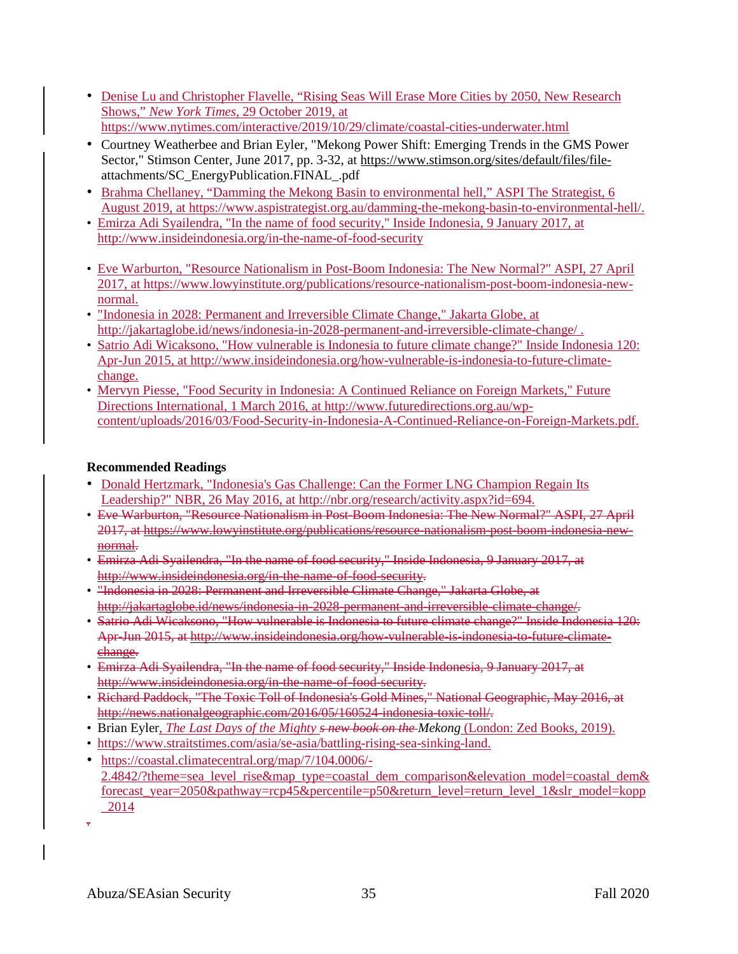- Denise Lu and Christopher Flavelle, "Rising Seas Will Erase More Cities by 2050, New Research Shows," *New York Times*, 29 October 2019, at <https://www.nytimes.com/interactive/2019/10/29/climate/coastal-cities-underwater.html>
- Courtney Weatherbee and Brian Eyler, "Mekong Power Shift: Emerging Trends in the GMS Power Sector," Stimson Center, June 2017, pp. 3-32, at [https://www.stimson.org/sites/default/files/file](https://www.stimson.org/sites/default/files/file-)attachments/SC\_EnergyPublication.FINAL\_.pdf
- Brahma Chellaney, "Damming the Mekong Basin to environmental hell," ASPI The Strategist, 6 August 2019, at [https://www.aspistrategist.org.au/damming-the-mekong-basin-to-environmental-hell/.](https://www.aspistrategist.org.au/damming-the-mekong-basin-to-environmental-hell/)
- Emirza Adi Syailendra, "In the name of food security," Inside Indonesia, 9 January 2017, at <http://www.insideindonesia.org/in-the-name-of-food-security>
- Eve Warburton, "Resource Nationalism in Post-Boom Indonesia: The New Normal?" ASPI, 27 April 2017, at [https://www.lowyinstitute.org/publications/resource-nationalism-post-boom-indonesia-new](https://www.lowyinstitute.org/publications/resource-nationalism-post-boom-indonesia-new-normal)[normal.](https://www.lowyinstitute.org/publications/resource-nationalism-post-boom-indonesia-new-normal)
- "Indonesia in 2028: Permanent and Irreversible Climate Change," Jakarta Globe, at <http://jakartaglobe.id/news/indonesia-in-2028-permanent-and-irreversible-climate-change/> .
- Satrio Adi Wicaksono, "How vulnerable is Indonesia to future climate change?" Inside Indonesia 120: Apr-Jun 2015, at [http://www.insideindonesia.org/how-vulnerable-is-indonesia-to-future-climate](http://www.insideindonesia.org/how-vulnerable-is-indonesia-to-future-climate-change)[change.](http://www.insideindonesia.org/how-vulnerable-is-indonesia-to-future-climate-change)
- Mervyn Piesse, "Food Security in Indonesia: A Continued Reliance on Foreign Markets," Future Directions International, 1 March 2016, at [http://www.futuredirections.org.au/wp](http://www.futuredirections.org.au/wp-content/uploads/2016/03/Food-Security-in-Indonesia-A-Continued-Reliance-on-Foreign-Markets.pdf)[content/uploads/2016/03/Food-Security-in-Indonesia-A-Continued-Reliance-on-Foreign-Markets.pdf.](http://www.futuredirections.org.au/wp-content/uploads/2016/03/Food-Security-in-Indonesia-A-Continued-Reliance-on-Foreign-Markets.pdf)

## **Recommended Readings**

- Donald Hertzmark, "Indonesia's Gas Challenge: Can the Former LNG Champion Regain Its Leadership?" NBR, 26 May 2016, at [http://nbr.org/research/activity.aspx?id=694.](http://nbr.org/research/activity.aspx?id=694)
- Eve Warburton, "Resource Nationalism in Post-Boom Indonesia: The New Normal?" ASPI, 27 April 2017, at https://www.lowyinstitute.org/publications/resource-nationalism-post-boom-indonesia-newnormal.
- Emirza Adi Syailendra, "In the name of food security," Inside Indonesia, 9 January 2017, at http://www.insideindonesia.org/in-the-name-of-food-security.
- "Indonesia in 2028: Permanent and Irreversible Climate Change," Jakarta Globe, at http://jakartaglobe.id/news/indonesia-in-2028-permanent-and-irreversible-climate-change/.
- Satrio Adi Wicaksono, "How vulnerable is Indonesia to future climate change?" Inside Indonesia 120: Apr-Jun 2015, at http://www.insideindonesia.org/how-vulnerable-is-indonesia-to-future-climatechange.
- Emirza Adi Syailendra, "In the name of food security," Inside Indonesia, 9 January 2017, at http://www.insideindonesia.org/in-the-name-of-food-security.
- Richard Paddock, "The Toxic Toll of Indonesia's Gold Mines," National Geographic, May 2016, at http://news.nationalgeographic.com/2016/05/160524-indonesia-toxic-toll/.
- Brian Eyler, *The Last Days of the Mighty s new book on the Mekong* (London: Zed Books, 2019).
- [https://www.straitstimes.com/asia/se-asia/battling-rising-sea-sinking-land.](https://www.straitstimes.com/asia/se-asia/battling-rising-sea-sinking-land)
- [https://coastal.climatecentral.org/map/7/104.0006/-](https://coastal.climatecentral.org/map/7/104.0006/-2.4842/?theme=sea_level_rise&map_type=coastal_dem_comparison&elevation_model=coastal_dem&forecast_year=2050&pathway=rcp45&percentile=p50&return_level=return_level_1&slr_model=kopp_2014) [2.4842/?theme=sea\\_level\\_rise&map\\_type=coastal\\_dem\\_comparison&elevation\\_model=coastal\\_dem&](https://coastal.climatecentral.org/map/7/104.0006/-2.4842/?theme=sea_level_rise&map_type=coastal_dem_comparison&elevation_model=coastal_dem&forecast_year=2050&pathway=rcp45&percentile=p50&return_level=return_level_1&slr_model=kopp_2014) [forecast\\_year=2050&pathway=rcp45&percentile=p50&return\\_level=return\\_level\\_1&slr\\_model=kopp](https://coastal.climatecentral.org/map/7/104.0006/-2.4842/?theme=sea_level_rise&map_type=coastal_dem_comparison&elevation_model=coastal_dem&forecast_year=2050&pathway=rcp45&percentile=p50&return_level=return_level_1&slr_model=kopp_2014) [\\_2014](https://coastal.climatecentral.org/map/7/104.0006/-2.4842/?theme=sea_level_rise&map_type=coastal_dem_comparison&elevation_model=coastal_dem&forecast_year=2050&pathway=rcp45&percentile=p50&return_level=return_level_1&slr_model=kopp_2014)
- .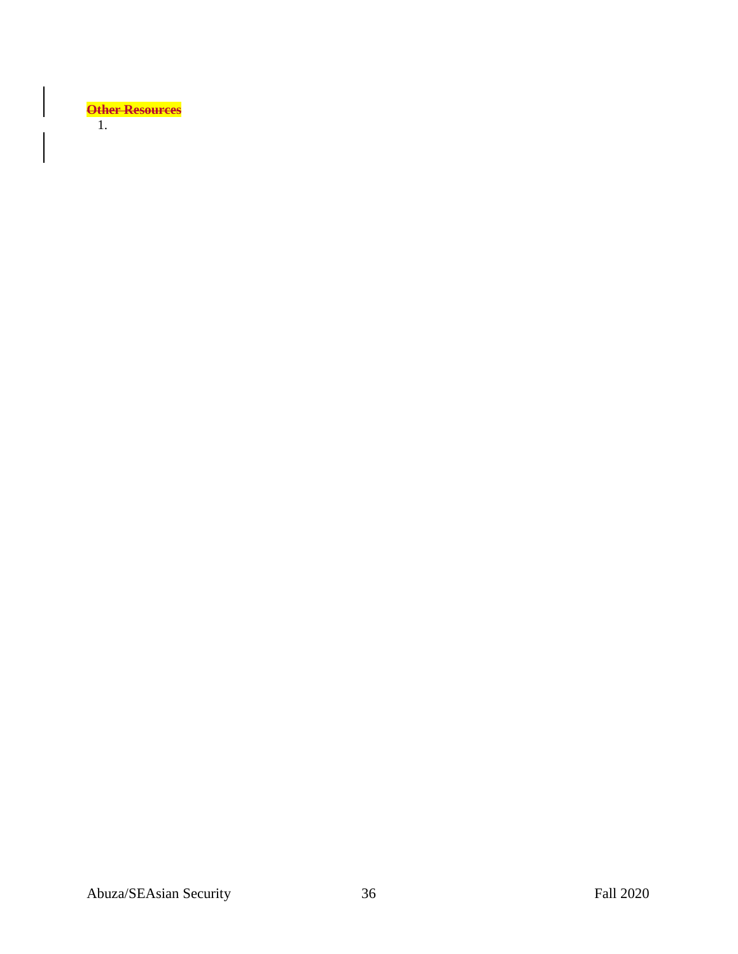

 $\overline{\phantom{a}}$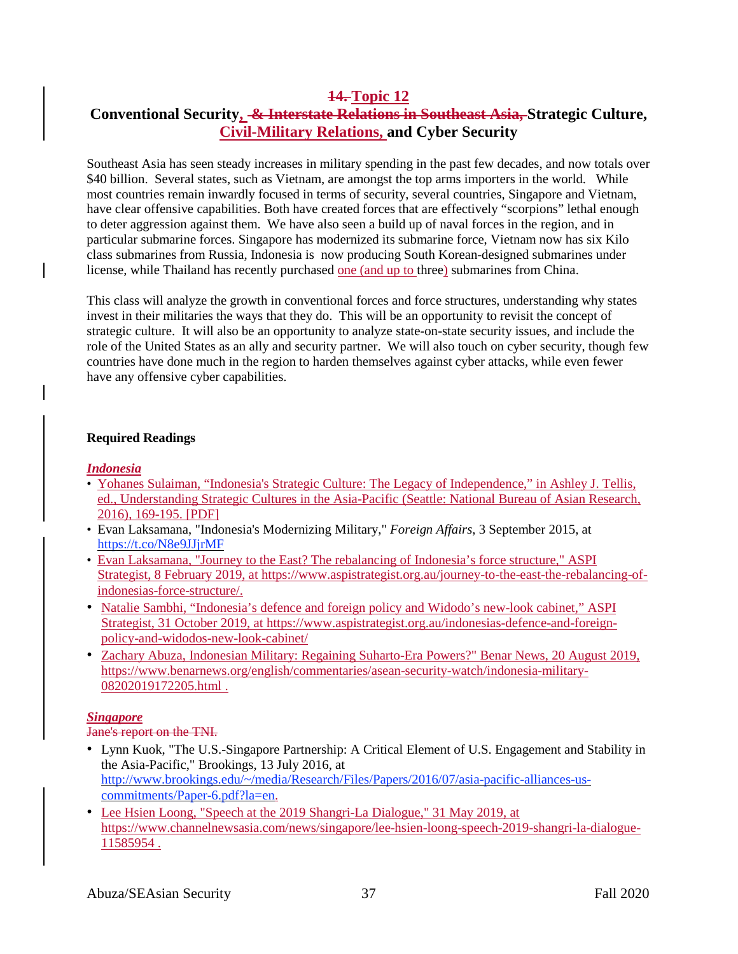## **14. Topic 12 Conventional Security, & Interstate Relations in Southeast Asia, Strategic Culture, Civil-Military Relations, and Cyber Security**

Southeast Asia has seen steady increases in military spending in the past few decades, and now totals over \$40 billion. Several states, such as Vietnam, are amongst the top arms importers in the world. While most countries remain inwardly focused in terms of security, several countries, Singapore and Vietnam, have clear offensive capabilities. Both have created forces that are effectively "scorpions" lethal enough to deter aggression against them. We have also seen a build up of naval forces in the region, and in particular submarine forces. Singapore has modernized its submarine force, Vietnam now has six Kilo class submarines from Russia, Indonesia is now producing South Korean-designed submarines under license, while Thailand has recently purchased one (and up to three) submarines from China.

This class will analyze the growth in conventional forces and force structures, understanding why states invest in their militaries the ways that they do. This will be an opportunity to revisit the concept of strategic culture. It will also be an opportunity to analyze state-on-state security issues, and include the role of the United States as an ally and security partner. We will also touch on cyber security, though few countries have done much in the region to harden themselves against cyber attacks, while even fewer have any offensive cyber capabilities.

### **Required Readings**

### *Indonesia*

- Yohanes Sulaiman, "Indonesia's Strategic Culture: The Legacy of Independence," in Ashley J. Tellis, ed., Understanding Strategic Cultures in the Asia-Pacific (Seattle: National Bureau of Asian Research, 2016), 169-195. [PDF]
- Evan Laksamana, "Indonesia's Modernizing Military," *Foreign Affairs*, 3 September 2015, at <https://t.co/N8e9JJjrMF>
- Evan Laksamana, "Journey to the East? The rebalancing of Indonesia's force structure," ASPI Strategist, 8 February 2019, at [https://www.aspistrategist.org.au/journey-to-the-east-the-rebalancing-of](https://www.aspistrategist.org.au/journey-to-the-east-the-rebalancing-of-indonesias-force-structure/)[indonesias-force-structure/.](https://www.aspistrategist.org.au/journey-to-the-east-the-rebalancing-of-indonesias-force-structure/)
- Natalie Sambhi, "Indonesia's defence and foreign policy and Widodo's new-look cabinet," ASPI Strategist, 31 October 2019, at [https://www.aspistrategist.org.au/indonesias-defence-and-foreign](https://www.aspistrategist.org.au/indonesias-defence-and-foreign-policy-and-widodos-new-look-cabinet/)[policy-and-widodos-new-look-cabinet/](https://www.aspistrategist.org.au/indonesias-defence-and-foreign-policy-and-widodos-new-look-cabinet/)
- Zachary Abuza, Indonesian Military: Regaining Suharto-Era Powers?" Benar News, 20 August 2019, [https://www.benarnews.org/english/commentaries/asean-security-watch/indonesia-military-](https://www.benarnews.org/english/commentaries/asean-security-watch/indonesia-military-08202019172205.html)[08202019172205.html](https://www.benarnews.org/english/commentaries/asean-security-watch/indonesia-military-08202019172205.html).

## *Singapore*

Jane's report on the TNI.

- Lynn Kuok, "The U.S.-Singapore Partnership: A Critical Element of U.S. Engagement and Stability in the Asia-Pacific," Brookings, 13 July 2016, at [http://www.brookings.edu/~/media/Research/Files/Papers/2016/07/asia-pacific-alliances-us](http://www.brookings.edu/%7E/media/Research/Files/Papers/2016/07/asia-pacific-alliances-us-commitments/Paper-6.pdf?la=en)[commitments/Paper-6.pdf?la=en.](http://www.brookings.edu/%7E/media/Research/Files/Papers/2016/07/asia-pacific-alliances-us-commitments/Paper-6.pdf?la=en)
- Lee Hsien Loong, "Speech at the 2019 Shangri-La Dialogue," 31 May 2019, at [https://www.channelnewsasia.com/news/singapore/lee-hsien-loong-speech-2019-shangri-la-dialogue-](https://www.channelnewsasia.com/news/singapore/lee-hsien-loong-speech-2019-shangri-la-dialogue-11585954)[11585954](https://www.channelnewsasia.com/news/singapore/lee-hsien-loong-speech-2019-shangri-la-dialogue-11585954) .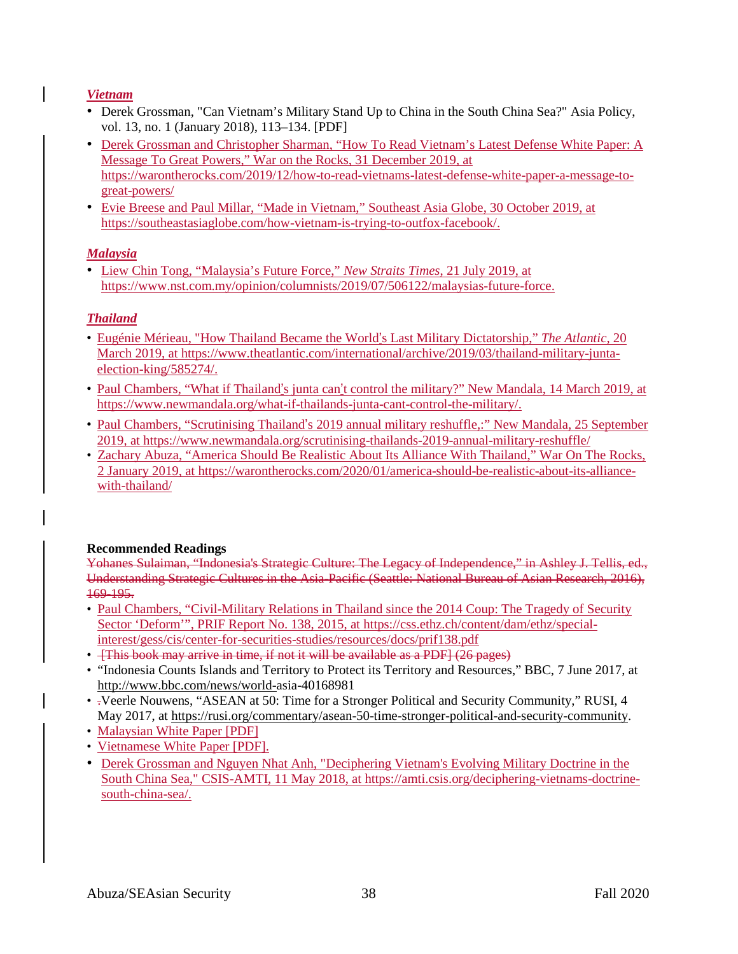## *Vietnam*

- Derek Grossman, "Can Vietnam's Military Stand Up to China in the South China Sea?" Asia Policy, vol. 13, no. 1 (January 2018), 113–134. [PDF]
- Derek Grossman and Christopher Sharman, "How To Read Vietnam's Latest Defense White Paper: A Message To Great Powers," War on the Rocks, 31 December 2019, at [https://warontherocks.com/2019/12/how-to-read-vietnams-latest-defense-white-paper-a-message-to](https://warontherocks.com/2019/12/how-to-read-vietnams-latest-defense-white-paper-a-message-to-great-powers/)[great-powers/](https://warontherocks.com/2019/12/how-to-read-vietnams-latest-defense-white-paper-a-message-to-great-powers/)
- Evie Breese and Paul Millar, "Made in Vietnam," Southeast Asia Globe, 30 October 2019, at [https://southeastasiaglobe.com/how-vietnam-is-trying-to-outfox-facebook/.](https://southeastasiaglobe.com/how-vietnam-is-trying-to-outfox-facebook/)

## *Malaysia*

• Liew Chin Tong, "Malaysia's Future Force," *New Straits Times*, 21 July 2019, at [https://www.nst.com.my/opinion/columnists/2019/07/506122/malaysias-future-force.](https://www.nst.com.my/opinion/columnists/2019/07/506122/malaysias-future-force)

## *Thailand*

- Eugénie Mérieau, "How Thailand Became the World's Last Military Dictatorship," *The Atlantic*, 20 March 2019, at [https://www.theatlantic.com/international/archive/2019/03/thailand-military-junta](https://www.theatlantic.com/international/archive/2019/03/thailand-military-junta-election-king/585274/)[election-king/585274/.](https://www.theatlantic.com/international/archive/2019/03/thailand-military-junta-election-king/585274/)
- Paul Chambers, "What if Thailand's junta can't control the military?" New Mandala, 14 March 2019, at [https://www.newmandala.org/what-if-thailands-junta-cant-control-the-military/.](https://www.newmandala.org/what-if-thailands-junta-cant-control-the-military/)
- Paul Chambers, "Scrutinising Thailand's 2019 annual military reshuffle,:" New Mandala, 25 September 2019, at <https://www.newmandala.org/scrutinising-thailands-2019-annual-military-reshuffle/>
- Zachary Abuza, "America Should Be Realistic About Its Alliance With Thailand," War On The Rocks, 2 January 2019, at [https://warontherocks.com/2020/01/america-should-be-realistic-about-its-alliance](https://warontherocks.com/2020/01/america-should-be-realistic-about-its-alliance-with-thailand/)[with-thailand/](https://warontherocks.com/2020/01/america-should-be-realistic-about-its-alliance-with-thailand/)

## **Recommended Readings**

Yohanes Sulaiman, "Indonesia's Strategic Culture: The Legacy of Independence," in Ashley J. Tellis, ed., Understanding Strategic Cultures in the Asia-Pacific (Seattle: National Bureau of Asian Research, 2016), 169-195.

- Paul Chambers, "Civil-Military Relations in Thailand since the 2014 Coup: The Tragedy of Security Sector 'Deform'", PRIF Report No. 138, 2015, at [https://css.ethz.ch/content/dam/ethz/special](https://css.ethz.ch/content/dam/ethz/special-interest/gess/cis/center-for-securities-studies/resources/docs/prif138.pdf)[interest/gess/cis/center-for-securities-studies/resources/docs/prif138.pdf](https://css.ethz.ch/content/dam/ethz/special-interest/gess/cis/center-for-securities-studies/resources/docs/prif138.pdf)
- [This book may arrive in time, if not it will be available as a PDF] (26 pages)
- "Indonesia Counts Islands and Territory to Protect its Territory and Resources," BBC, 7 June 2017, at [http://www.bbc.com/news/world-a](http://www.bbc.com/news/world-)sia-40168981
- .Veerle Nouwens, "ASEAN at 50: Time for a Stronger Political and Security Community," RUSI, 4 May 2017, at [https://rusi.org/commentary/asean-50-time-stronger-political-and-security-community.](https://rusi.org/commentary/asean-50-time-stronger-political-and-security-community)
- Malaysian White Paper [PDF]
- Vietnamese White Paper [PDF].
- Derek Grossman and Nguyen Nhat Anh, "Deciphering Vietnam's Evolving Military Doctrine in the South China Sea," CSIS-AMTI, 11 May 2018, at [https://amti.csis.org/deciphering-vietnams-doctrine](https://amti.csis.org/deciphering-vietnams-doctrine-south-china-sea/)[south-china-sea/.](https://amti.csis.org/deciphering-vietnams-doctrine-south-china-sea/)